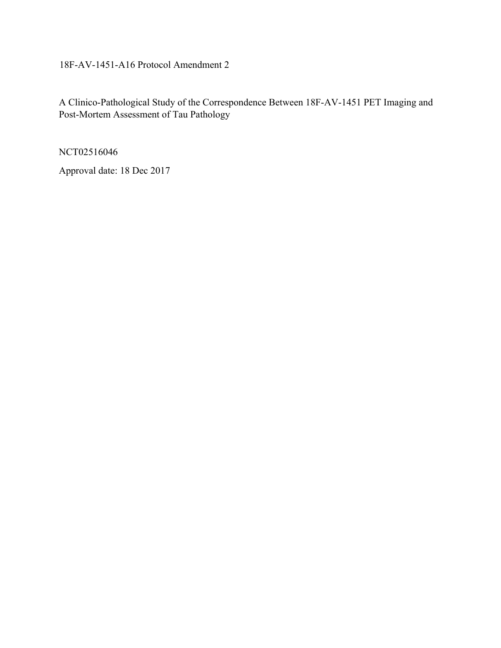18F-AV-1451-A16 Protocol Amendment 2

A Clinico-Pathological Study of the Correspondence Between 18F-AV-1451 PET Imaging and Post-Mortem Assessment of Tau Pathology

NCT02516046

Approval date: 18 Dec 2017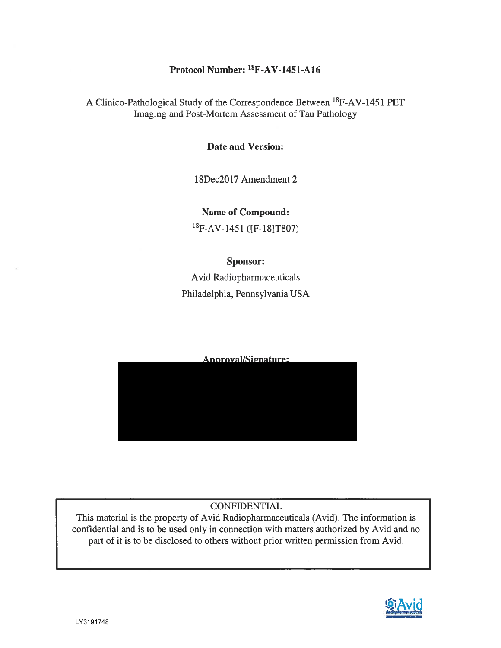## Protocol Number: <sup>18</sup>F-AV-1451-A16

A Clinico-Pathological Study of the Correspondence Between <sup>18</sup>F-AV-1451 PET Imaging and Post-Mortem Assessment of Tau Pathology

#### **Date and Version:**

18Dec2017 Amendment 2

**Name of Compound:** <sup>18</sup>F-AV-1451 ([F-18]T807)

#### Sponsor:

Avid Radiopharmaceuticals Philadelphia, Pennsylvania USA

# Approval/Signature:

#### **CONFIDENTIAL**

This material is the property of Avid Radiopharmaceuticals (Avid). The information is confidential and is to be used only in connection with matters authorized by Avid and no part of it is to be disclosed to others without prior written permission from Avid.

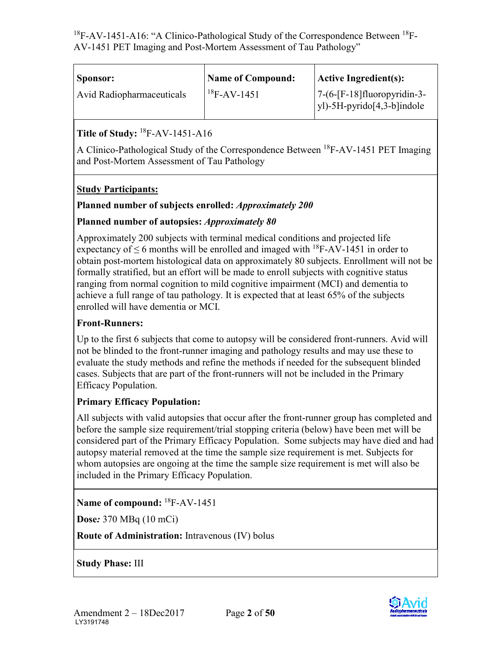| Sponsor:                  | <b>Name of Compound:</b> | <b>Active Ingredient(s):</b>                                 |
|---------------------------|--------------------------|--------------------------------------------------------------|
| Avid Radiopharmaceuticals | $18F-AV-1451$            | $7-(6-[F-18]$ fluoropyridin-3-<br>yl)-5H-pyrido[4,3-b]indole |

## **Title of Study:** 18F-AV-1451-A16

A Clinico-Pathological Study of the Correspondence Between 18F-AV-1451 PET Imaging and Post-Mortem Assessment of Tau Pathology

#### **Study Participants:**

#### **Planned number of subjects enrolled:** *Approximately 200*

#### **Planned number of autopsies:** *Approximately 80*

Approximately 200 subjects with terminal medical conditions and projected life expectancy of  $\leq$  6 months will be enrolled and imaged with <sup>18</sup>F-AV-1451 in order to obtain post-mortem histological data on approximately 80 subjects. Enrollment will not be formally stratified, but an effort will be made to enroll subjects with cognitive status ranging from normal cognition to mild cognitive impairment (MCI) and dementia to achieve a full range of tau pathology. It is expected that at least 65% of the subjects enrolled will have dementia or MCI.

#### **Front-Runners:**

Up to the first 6 subjects that come to autopsy will be considered front-runners. Avid will not be blinded to the front-runner imaging and pathology results and may use these to evaluate the study methods and refine the methods if needed for the subsequent blinded cases. Subjects that are part of the front-runners will not be included in the Primary Efficacy Population.

#### **Primary Efficacy Population:**

All subjects with valid autopsies that occur after the front-runner group has completed and before the sample size requirement/trial stopping criteria (below) have been met will be considered part of the Primary Efficacy Population. Some subjects may have died and had autopsy material removed at the time the sample size requirement is met. Subjects for whom autopsies are ongoing at the time the sample size requirement is met will also be included in the Primary Efficacy Population.

**Name of compound:** 18F-AV-1451

**Dose***:* 370 MBq (10 mCi)

**Route of Administration:** Intravenous (IV) bolus

**Study Phase:** III

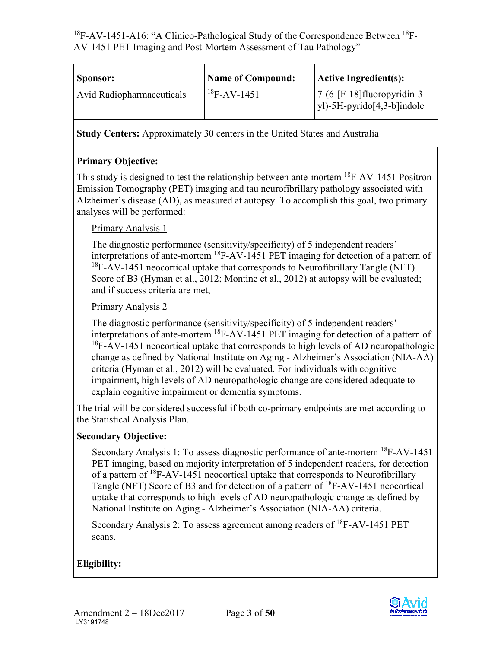| Sponsor:                         | <b>Name of Compound:</b> | $\vert$ Active Ingredient(s):                                       |
|----------------------------------|--------------------------|---------------------------------------------------------------------|
| <b>Avid Radiopharmaceuticals</b> | $18F-AV-1451$            | $7-(6-[F-18]$ fluoropyridin-3-<br>$ y $ -5H-pyrido $[4,3-b]$ indole |

**Study Centers:** Approximately 30 centers in the United States and Australia

## **Primary Objective:**

This study is designed to test the relationship between ante-mortem <sup>18</sup>F-AV-1451 Positron Emission Tomography (PET) imaging and tau neurofibrillary pathology associated with Alzheimer's disease (AD), as measured at autopsy. To accomplish this goal, two primary analyses will be performed:

#### Primary Analysis 1

The diagnostic performance (sensitivity/specificity) of 5 independent readers' interpretations of ante-mortem 18F-AV-1451 PET imaging for detection of a pattern of  $18F-AV-1451$  neocortical uptake that corresponds to Neurofibrillary Tangle (NFT) Score of B3 (Hyman et al., 2012; Montine et al., 2012) at autopsy will be evaluated; and if success criteria are met,

#### Primary Analysis 2

The diagnostic performance (sensitivity/specificity) of 5 independent readers' interpretations of ante-mortem 18F-AV-1451 PET imaging for detection of a pattern of  $18F-AV-1451$  neocortical uptake that corresponds to high levels of AD neuropathologic change as defined by National Institute on Aging - Alzheimer's Association (NIA-AA) criteria (Hyman et al., 2012) will be evaluated. For individuals with cognitive impairment, high levels of AD neuropathologic change are considered adequate to explain cognitive impairment or dementia symptoms.

The trial will be considered successful if both co-primary endpoints are met according to the Statistical Analysis Plan.

#### **Secondary Objective:**

Secondary Analysis 1: To assess diagnostic performance of ante-mortem 18F-AV-1451 PET imaging, based on majority interpretation of 5 independent readers, for detection of a pattern of  ${}^{18}$ F-AV-1451 neocortical uptake that corresponds to Neurofibrillary Tangle (NFT) Score of B3 and for detection of a pattern of <sup>18</sup>F-AV-1451 neocortical uptake that corresponds to high levels of AD neuropathologic change as defined by National Institute on Aging - Alzheimer's Association (NIA-AA) criteria.

Secondary Analysis 2: To assess agreement among readers of <sup>18</sup>F-AV-1451 PET scans.

## **Eligibility:**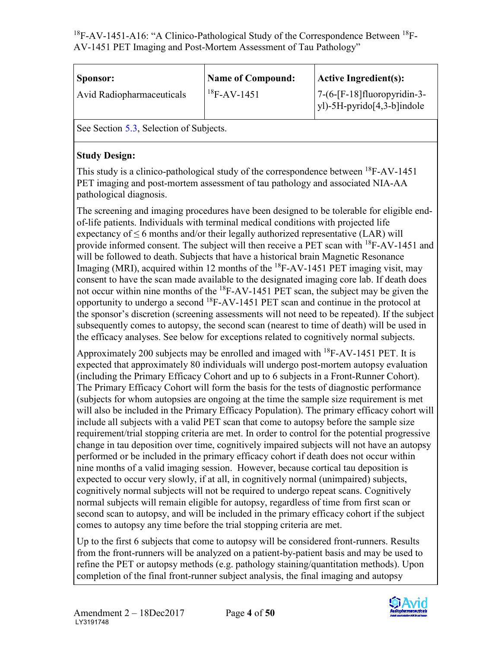| Sponsor:                         | <b>Name of Compound:</b> | $ $ Active Ingredient(s):                                       |
|----------------------------------|--------------------------|-----------------------------------------------------------------|
| <b>Avid Radiopharmaceuticals</b> | $18F-AV-1451$            | $7-(6-[F-18]$ fluoropyridin-3-<br>$y$ ])-5H-pyrido[4,3-b]indole |

See Section [5.3](#page-24-0), Selection of Subjects.

#### **Study Design:**

This study is a clinico-pathological study of the correspondence between <sup>18</sup>F-AV-1451 PET imaging and post-mortem assessment of tau pathology and associated NIA-AA pathological diagnosis.

The screening and imaging procedures have been designed to be tolerable for eligible endof-life patients. Individuals with terminal medical conditions with projected life expectancy of  $\leq$  6 months and/or their legally authorized representative (LAR) will provide informed consent. The subject will then receive a PET scan with <sup>18</sup>F-AV-1451 and will be followed to death. Subjects that have a historical brain Magnetic Resonance Imaging (MRI), acquired within 12 months of the  ${}^{18}$ F-AV-1451 PET imaging visit, may consent to have the scan made available to the designated imaging core lab. If death does not occur within nine months of the  ${}^{18}$ F-AV-1451 PET scan, the subject may be given the opportunity to undergo a second 18F-AV-1451 PET scan and continue in the protocol at the sponsor's discretion (screening assessments will not need to be repeated). If the subject subsequently comes to autopsy, the second scan (nearest to time of death) will be used in the efficacy analyses. See below for exceptions related to cognitively normal subjects.

Approximately 200 subjects may be enrolled and imaged with 18F-AV-1451 PET. It is expected that approximately 80 individuals will undergo post-mortem autopsy evaluation (including the Primary Efficacy Cohort and up to 6 subjects in a Front-Runner Cohort). The Primary Efficacy Cohort will form the basis for the tests of diagnostic performance (subjects for whom autopsies are ongoing at the time the sample size requirement is met will also be included in the Primary Efficacy Population). The primary efficacy cohort will include all subjects with a valid PET scan that come to autopsy before the sample size requirement/trial stopping criteria are met. In order to control for the potential progressive change in tau deposition over time, cognitively impaired subjects will not have an autopsy performed or be included in the primary efficacy cohort if death does not occur within nine months of a valid imaging session. However, because cortical tau deposition is expected to occur very slowly, if at all, in cognitively normal (unimpaired) subjects, cognitively normal subjects will not be required to undergo repeat scans. Cognitively normal subjects will remain eligible for autopsy, regardless of time from first scan or second scan to autopsy, and will be included in the primary efficacy cohort if the subject comes to autopsy any time before the trial stopping criteria are met.

Up to the first 6 subjects that come to autopsy will be considered front-runners. Results from the front-runners will be analyzed on a patient-by-patient basis and may be used to refine the PET or autopsy methods (e.g. pathology staining/quantitation methods). Upon completion of the final front-runner subject analysis, the final imaging and autopsy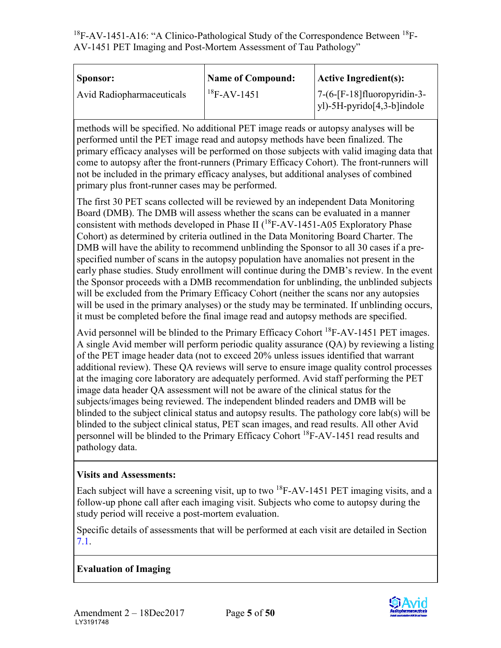| Sponsor:                         | <b>Name of Compound:</b> | $ $ Active Ingredient(s):                                           |
|----------------------------------|--------------------------|---------------------------------------------------------------------|
| <b>Avid Radiopharmaceuticals</b> | $18F-AV-1451$            | $7-(6-[F-18]$ fluoropyridin-3-<br>$ y $ -5H-pyrido $[4,3-b]$ indole |

methods will be specified. No additional PET image reads or autopsy analyses will be performed until the PET image read and autopsy methods have been finalized. The primary efficacy analyses will be performed on those subjects with valid imaging data that come to autopsy after the front-runners (Primary Efficacy Cohort). The front-runners will not be included in the primary efficacy analyses, but additional analyses of combined primary plus front-runner cases may be performed.

The first 30 PET scans collected will be reviewed by an independent Data Monitoring Board (DMB). The DMB will assess whether the scans can be evaluated in a manner consistent with methods developed in Phase II  $(^{18}F-AV-1451-A05$  Exploratory Phase Cohort) as determined by criteria outlined in the Data Monitoring Board Charter. The DMB will have the ability to recommend unblinding the Sponsor to all 30 cases if a prespecified number of scans in the autopsy population have anomalies not present in the early phase studies. Study enrollment will continue during the DMB's review. In the event the Sponsor proceeds with a DMB recommendation for unblinding, the unblinded subjects will be excluded from the Primary Efficacy Cohort (neither the scans nor any autopsies will be used in the primary analyses) or the study may be terminated. If unblinding occurs, it must be completed before the final image read and autopsy methods are specified.

Avid personnel will be blinded to the Primary Efficacy Cohort 18F-AV-1451 PET images. A single Avid member will perform periodic quality assurance (QA) by reviewing a listing of the PET image header data (not to exceed 20% unless issues identified that warrant additional review). These QA reviews will serve to ensure image quality control processes at the imaging core laboratory are adequately performed. Avid staff performing the PET image data header QA assessment will not be aware of the clinical status for the subjects/images being reviewed. The independent blinded readers and DMB will be blinded to the subject clinical status and autopsy results. The pathology core lab(s) will be blinded to the subject clinical status, PET scan images, and read results. All other Avid personnel will be blinded to the Primary Efficacy Cohort 18F-AV-1451 read results and pathology data.

#### **Visits and Assessments:**

Each subject will have a screening visit, up to two <sup>18</sup>F-AV-1451 PET imaging visits, and a follow-up phone call after each imaging visit. Subjects who come to autopsy during the study period will receive a post-mortem evaluation.

Specific details of assessments that will be performed at each visit are detailed in Section [7.1.](#page-26-0)

#### **Evaluation of Imaging**

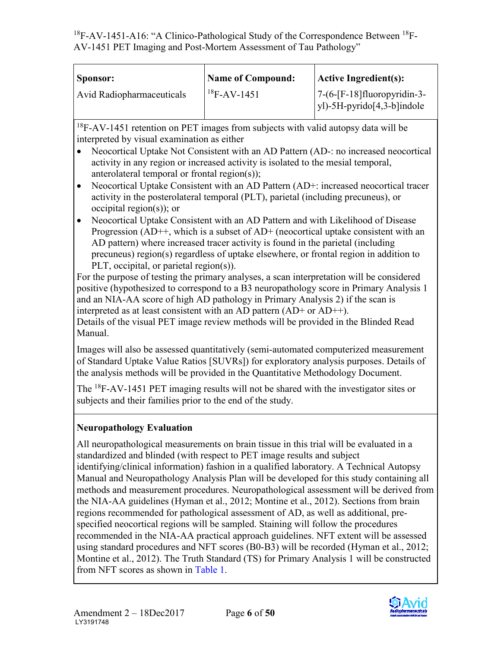| Sponsor:                  | <b>Name of Compound:</b> | $ $ Active Ingredient(s):                                       |
|---------------------------|--------------------------|-----------------------------------------------------------------|
| Avid Radiopharmaceuticals | $18F-AV-1451$            | $7-(6-[F-18]$ fluoropyridin-3-<br>$y$ ])-5H-pyrido[4,3-b]indole |

 $18F-AV-1451$  retention on PET images from subjects with valid autopsy data will be interpreted by visual examination as either

- Neocortical Uptake Not Consistent with an AD Pattern (AD-: no increased neocortical activity in any region or increased activity is isolated to the mesial temporal, anterolateral temporal or frontal region(s));
- Neocortical Uptake Consistent with an AD Pattern (AD+: increased neocortical tracer activity in the posterolateral temporal (PLT), parietal (including precuneus), or occipital region(s)); or
- Neocortical Uptake Consistent with an AD Pattern and with Likelihood of Disease Progression (AD++, which is a subset of AD+ (neocortical uptake consistent with an AD pattern) where increased tracer activity is found in the parietal (including precuneus) region(s) regardless of uptake elsewhere, or frontal region in addition to PLT, occipital, or parietal region(s)).

For the purpose of testing the primary analyses, a scan interpretation will be considered positive (hypothesized to correspond to a B3 neuropathology score in Primary Analysis 1 and an NIA-AA score of high AD pathology in Primary Analysis 2) if the scan is interpreted as at least consistent with an AD pattern (AD+ or AD++). Details of the visual PET image review methods will be provided in the Blinded Read Manual.

Images will also be assessed quantitatively (semi-automated computerized measurement of Standard Uptake Value Ratios [SUVRs]) for exploratory analysis purposes. Details of the analysis methods will be provided in the Quantitative Methodology Document.

The <sup>18</sup>F-AV-1451 PET imaging results will not be shared with the investigator sites or subjects and their families prior to the end of the study.

## **Neuropathology Evaluation**

All neuropathological measurements on brain tissue in this trial will be evaluated in a standardized and blinded (with respect to PET image results and subject identifying/clinical information) fashion in a qualified laboratory. A Technical Autopsy Manual and Neuropathology Analysis Plan will be developed for this study containing all methods and measurement procedures. Neuropathological assessment will be derived from the NIA-AA guidelines (Hyman et al., 2012; Montine et al., 2012). Sections from brain regions recommended for pathological assessment of AD, as well as additional, prespecified neocortical regions will be sampled. Staining will follow the procedures recommended in the NIA-AA practical approach guidelines. NFT extent will be assessed using standard procedures and NFT scores (B0-B3) will be recorded (Hyman et al., 2012; Montine et al., 2012). The Truth Standard (TS) for Primary Analysis 1 will be constructed from NFT scores as shown in [Table 1.](#page-7-0)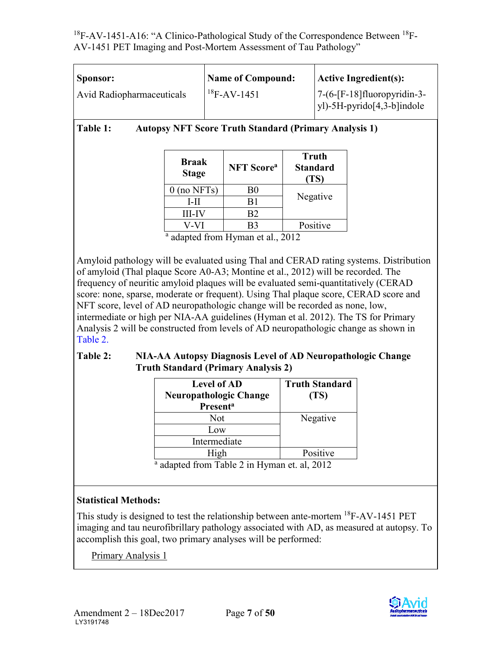| Sponsor:                         | <b>Name of Compound:</b> | $ $ Active Ingredient(s):                                           |
|----------------------------------|--------------------------|---------------------------------------------------------------------|
| <b>Avid Radiopharmaceuticals</b> | $^{18}$ F-AV-1451        | $7-(6-[F-18]$ fluoropyridin-3-<br>$ y $ -5H-pyrido $[4,3-b]$ indole |

<span id="page-7-0"></span>**Table 1: Autopsy NFT Score Truth Standard (Primary Analysis 1)**

| Braak<br><b>Stage</b> | <b>NFT</b> Score <sup>a</sup> | <b>Truth</b><br><b>Standard</b><br>(TS) |
|-----------------------|-------------------------------|-----------------------------------------|
| $0$ (no NFTs)         | B0                            |                                         |
| L-II                  | B1                            | Negative                                |
| <b>III-IV</b>         | B2                            |                                         |
|                       | RЗ                            | Positive                                |

 $\frac{a}{a}$  adapted from Hyman et al., 2012

Amyloid pathology will be evaluated using Thal and CERAD rating systems. Distribution of amyloid (Thal plaque Score A0-A3; Montine et al., 2012) will be recorded. The frequency of neuritic amyloid plaques will be evaluated semi-quantitatively (CERAD score: none, sparse, moderate or frequent). Using Thal plaque score, CERAD score and NFT score, level of AD neuropathologic change will be recorded as none, low, intermediate or high per NIA-AA guidelines (Hyman et al. 2012). The TS for Primary Analysis 2 will be constructed from levels of AD neuropathologic change as shown in [Table 2.](#page-7-1)

#### <span id="page-7-1"></span>**Table 2: NIA-AA Autopsy Diagnosis Level of AD Neuropathologic Change Truth Standard (Primary Analysis 2)**

| <b>Level of AD</b><br><b>Neuropathologic Change</b><br><b>Presenta</b> | <b>Truth Standard</b><br>(TS) |
|------------------------------------------------------------------------|-------------------------------|
| Not                                                                    | Negative                      |
| Low                                                                    |                               |
| Intermediate                                                           |                               |
| High                                                                   | Positive                      |
| $\sim$<br>$\mathbf{I}$<br>$\sim$<br>-- - -<br>the contract of the con- | $\sim$ $\sim$ $\sim$          |

a adapted from Table 2 in Hyman et. al, 2012

## **Statistical Methods:**

This study is designed to test the relationship between ante-mortem 18F-AV-1451 PET imaging and tau neurofibrillary pathology associated with AD, as measured at autopsy. To accomplish this goal, two primary analyses will be performed:

Primary Analysis 1

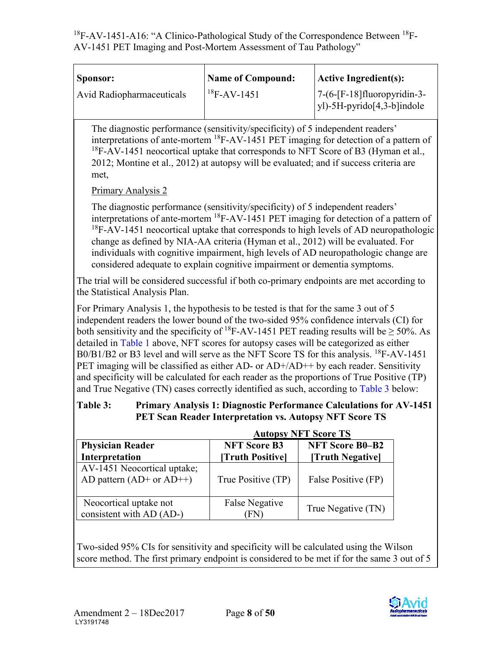| <b>Sponsor:</b>           | <b>Name of Compound:</b> | Active Ingredient(s):                                               |
|---------------------------|--------------------------|---------------------------------------------------------------------|
| Avid Radiopharmaceuticals | $18F-AV-1451$            | $7-(6-[F-18]$ fluoropyridin-3-<br>$ y $ -5H-pyrido $[4,3-b]$ indole |

The diagnostic performance (sensitivity/specificity) of 5 independent readers' interpretations of ante-mortem  ${}^{18}$ F-AV-1451 PET imaging for detection of a pattern of  $18F-AV-1451$  neocortical uptake that corresponds to NFT Score of B3 (Hyman et al., 2012; Montine et al., 2012) at autopsy will be evaluated; and if success criteria are met,

Primary Analysis 2

The diagnostic performance (sensitivity/specificity) of 5 independent readers' interpretations of ante-mortem 18F-AV-1451 PET imaging for detection of a pattern of <sup>18</sup>F-AV-1451 neocortical uptake that corresponds to high levels of AD neuropathologic change as defined by NIA-AA criteria (Hyman et al., 2012) will be evaluated. For individuals with cognitive impairment, high levels of AD neuropathologic change are considered adequate to explain cognitive impairment or dementia symptoms.

The trial will be considered successful if both co-primary endpoints are met according to the Statistical Analysis Plan.

For Primary Analysis 1, the hypothesis to be tested is that for the same 3 out of 5 independent readers the lower bound of the two-sided 95% confidence intervals (CI) for both sensitivity and the specificity of <sup>18</sup>F-AV-1451 PET reading results will be  $\geq$  50%. As detailed in [Table 1](#page-7-0) above, NFT scores for autopsy cases will be categorized as either B0/B1/B2 or B3 level and will serve as the NFT Score TS for this analysis. <sup>18</sup>F-AV-1451 PET imaging will be classified as either AD- or AD+/AD++ by each reader. Sensitivity and specificity will be calculated for each reader as the proportions of True Positive (TP) and True Negative (TN) cases correctly identified as such, according to [Table 3](#page-8-0) below:

#### <span id="page-8-0"></span>**Table 3: Primary Analysis 1: Diagnostic Performance Calculations for AV-1451 PET Scan Reader Interpretation vs. Autopsy NFT Score TS**

|                                                            | <b>Autopsy NFT Score TS</b>             |                                            |
|------------------------------------------------------------|-----------------------------------------|--------------------------------------------|
| <b>Physician Reader</b><br>Interpretation                  | <b>NFT Score B3</b><br>[Truth Positive] | <b>NFT Score B0-B2</b><br>[Truth Negative] |
| AV-1451 Neocortical uptake;<br>AD pattern $(AD+$ or $AD++$ | True Positive (TP)                      | False Positive (FP)                        |
| Neocortical uptake not<br>consistent with AD (AD-)         | False Negative<br>FN.                   | True Negative (TN)                         |

Two-sided 95% CIs for sensitivity and specificity will be calculated using the Wilson score method. The first primary endpoint is considered to be met if for the same 3 out of 5

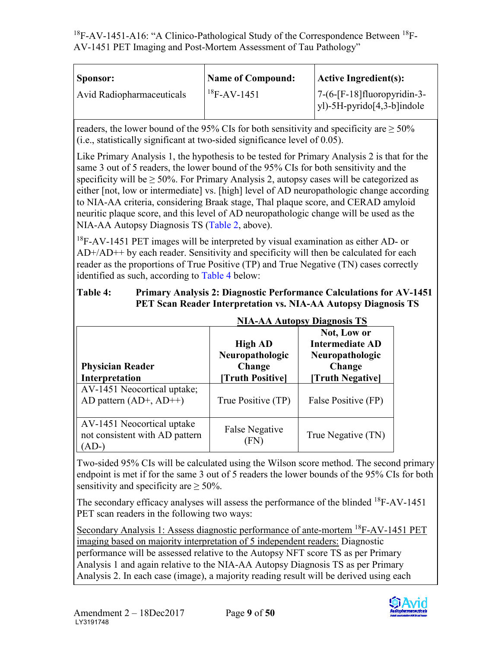| Sponsor:                  | <b>Name of Compound:</b> | $ $ Active Ingredient(s):                                           |
|---------------------------|--------------------------|---------------------------------------------------------------------|
| Avid Radiopharmaceuticals | $18F-AV-1451$            | $7-(6-[F-18]$ fluoropyridin-3-<br>$ y $ -5H-pyrido $[4,3-b]$ indole |

readers, the lower bound of the 95% CIs for both sensitivity and specificity are  $\geq 50\%$ (i.e., statistically significant at two-sided significance level of 0.05).

Like Primary Analysis 1, the hypothesis to be tested for Primary Analysis 2 is that for the same 3 out of 5 readers, the lower bound of the 95% CIs for both sensitivity and the specificity will be  $\geq 50\%$ . For Primary Analysis 2, autopsy cases will be categorized as either [not, low or intermediate] vs. [high] level of AD neuropathologic change according to NIA-AA criteria, considering Braak stage, Thal plaque score, and CERAD amyloid neuritic plaque score, and this level of AD neuropathologic change will be used as the NIA-AA Autopsy Diagnosis TS [\(Table 2,](#page-7-1) above).

<sup>18</sup>F-AV-1451 PET images will be interpreted by visual examination as either AD- or AD+/AD++ by each reader. Sensitivity and specificity will then be calculated for each reader as the proportions of True Positive (TP) and True Negative (TN) cases correctly identified as such, according to [Table 4](#page-9-0) below:

#### <span id="page-9-0"></span>**Table 4: Primary Analysis 2: Diagnostic Performance Calculations for AV-1451 PET Scan Reader Interpretation vs. NIA-AA Autopsy Diagnosis TS**

|                                                                         | NIA-AA AUTODSY DIAGNOSIS 15                                     |                                                                                        |
|-------------------------------------------------------------------------|-----------------------------------------------------------------|----------------------------------------------------------------------------------------|
| <b>Physician Reader</b><br>Interpretation                               | <b>High AD</b><br>Neuropathologic<br>Change<br>[Truth Positive] | Not, Low or<br><b>Intermediate AD</b><br>Neuropathologic<br>Change<br>[Truth Negative] |
| AV-1451 Neocortical uptake;<br>AD pattern $(AD+$ , $AD++$ )             | True Positive (TP)                                              | False Positive (FP)                                                                    |
| AV-1451 Neocortical uptake<br>not consistent with AD pattern<br>$(AD-)$ | <b>False Negative</b><br>FN)                                    | True Negative (TN)                                                                     |

# **NIA-AA Autopsy Diagnosis TS**

Two-sided 95% CIs will be calculated using the Wilson score method. The second primary endpoint is met if for the same 3 out of 5 readers the lower bounds of the 95% CIs for both sensitivity and specificity are  $\geq 50\%$ .

The secondary efficacy analyses will assess the performance of the blinded <sup>18</sup>F-AV-1451 PET scan readers in the following two ways:

Secondary Analysis 1: Assess diagnostic performance of ante-mortem <sup>18</sup>F-AV-1451 PET imaging based on majority interpretation of 5 independent readers: Diagnostic performance will be assessed relative to the Autopsy NFT score TS as per Primary Analysis 1 and again relative to the NIA-AA Autopsy Diagnosis TS as per Primary Analysis 2. In each case (image), a majority reading result will be derived using each

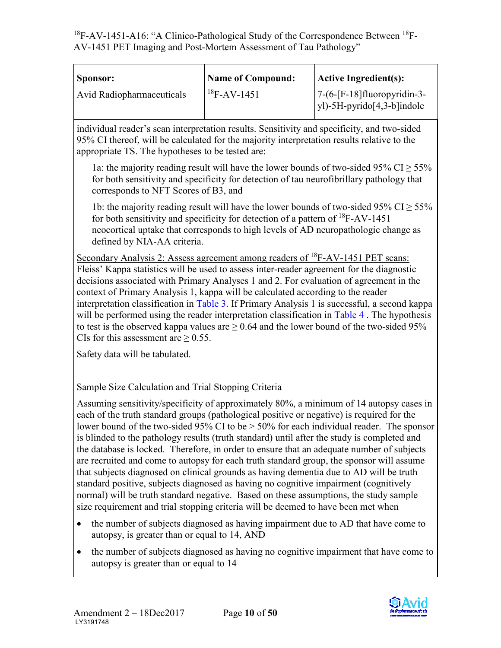| Sponsor:                  | <b>Name of Compound:</b> | <b>Active Ingredient(s):</b>                                        |
|---------------------------|--------------------------|---------------------------------------------------------------------|
| Avid Radiopharmaceuticals | $18F-AV-1451$            | $7-(6-[F-18]$ fluoropyridin-3-<br>$y$ ])-5H-pyrido $[4,3-b]$ indole |

individual reader's scan interpretation results. Sensitivity and specificity, and two-sided 95% CI thereof, will be calculated for the majority interpretation results relative to the appropriate TS. The hypotheses to be tested are:

1a: the majority reading result will have the lower bounds of two-sided 95% CI  $> 55\%$ for both sensitivity and specificity for detection of tau neurofibrillary pathology that corresponds to NFT Scores of B3, and

1b: the majority reading result will have the lower bounds of two-sided 95% CI  $\geq$  55% for both sensitivity and specificity for detection of a pattern of 18F-AV-1451 neocortical uptake that corresponds to high levels of AD neuropathologic change as defined by NIA-AA criteria.

Secondary Analysis 2: Assess agreement among readers of <sup>18</sup>F-AV-1451 PET scans: Fleiss' Kappa statistics will be used to assess inter-reader agreement for the diagnostic decisions associated with Primary Analyses 1 and 2. For evaluation of agreement in the context of Primary Analysis 1, kappa will be calculated according to the reader interpretation classification in [Table 3.](#page-8-0) If Primary Analysis 1 is successful, a second kappa will be performed using the reader interpretation classification in Table 4. The hypothesis to test is the observed kappa values are  $\geq 0.64$  and the lower bound of the two-sided 95% CIs for this assessment are  $\geq$  0.55.

Safety data will be tabulated.

Sample Size Calculation and Trial Stopping Criteria

Assuming sensitivity/specificity of approximately 80%, a minimum of 14 autopsy cases in each of the truth standard groups (pathological positive or negative) is required for the lower bound of the two-sided 95% CI to be  $> 50\%$  for each individual reader. The sponsor is blinded to the pathology results (truth standard) until after the study is completed and the database is locked. Therefore, in order to ensure that an adequate number of subjects are recruited and come to autopsy for each truth standard group, the sponsor will assume that subjects diagnosed on clinical grounds as having dementia due to AD will be truth standard positive, subjects diagnosed as having no cognitive impairment (cognitively normal) will be truth standard negative. Based on these assumptions, the study sample size requirement and trial stopping criteria will be deemed to have been met when

- the number of subjects diagnosed as having impairment due to AD that have come to autopsy, is greater than or equal to 14, AND
- the number of subjects diagnosed as having no cognitive impairment that have come to autopsy is greater than or equal to 14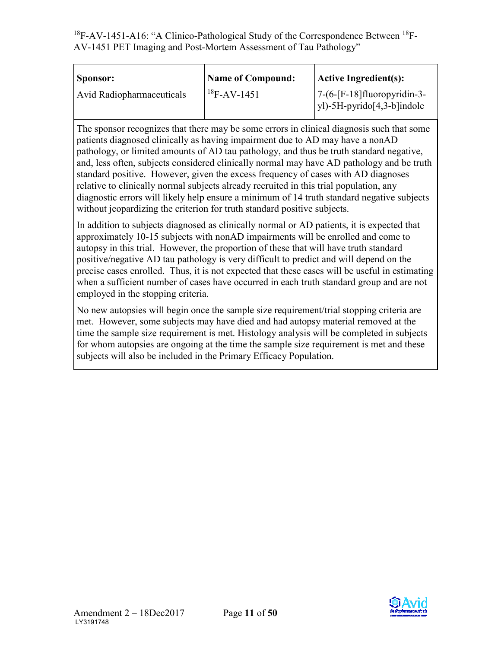| Sponsor:                         | <b>Name of Compound:</b> | Active Ingredient(s):                                               |
|----------------------------------|--------------------------|---------------------------------------------------------------------|
| <b>Avid Radiopharmaceuticals</b> | $18F-AV-1451$            | $7-(6-[F-18]$ fluoropyridin-3-<br>$ y $ -5H-pyrido $[4,3-b]$ indole |

The sponsor recognizes that there may be some errors in clinical diagnosis such that some patients diagnosed clinically as having impairment due to AD may have a nonAD pathology, or limited amounts of AD tau pathology, and thus be truth standard negative, and, less often, subjects considered clinically normal may have AD pathology and be truth standard positive. However, given the excess frequency of cases with AD diagnoses relative to clinically normal subjects already recruited in this trial population, any diagnostic errors will likely help ensure a minimum of 14 truth standard negative subjects without jeopardizing the criterion for truth standard positive subjects.

In addition to subjects diagnosed as clinically normal or AD patients, it is expected that approximately 10-15 subjects with nonAD impairments will be enrolled and come to autopsy in this trial. However, the proportion of these that will have truth standard positive/negative AD tau pathology is very difficult to predict and will depend on the precise cases enrolled. Thus, it is not expected that these cases will be useful in estimating when a sufficient number of cases have occurred in each truth standard group and are not employed in the stopping criteria.

No new autopsies will begin once the sample size requirement/trial stopping criteria are met. However, some subjects may have died and had autopsy material removed at the time the sample size requirement is met. Histology analysis will be completed in subjects for whom autopsies are ongoing at the time the sample size requirement is met and these subjects will also be included in the Primary Efficacy Population.

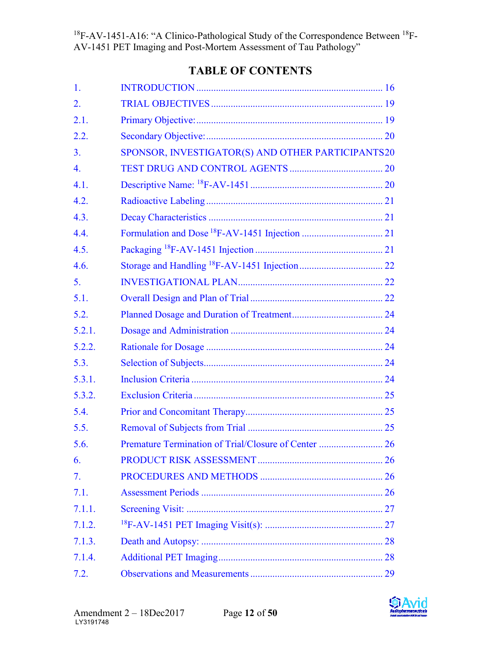# **TABLE OF CONTENTS**

| 1.             |                                                   |  |
|----------------|---------------------------------------------------|--|
| 2.             |                                                   |  |
| 2.1.           |                                                   |  |
| 2.2.           |                                                   |  |
| 3 <sub>1</sub> | SPONSOR, INVESTIGATOR(S) AND OTHER PARTICIPANTS20 |  |
| 4.             |                                                   |  |
| 4.1.           |                                                   |  |
| 4.2.           |                                                   |  |
| 4.3.           |                                                   |  |
| 4.4.           |                                                   |  |
| 4.5.           |                                                   |  |
| 4.6.           |                                                   |  |
| 5.             |                                                   |  |
| 5.1.           |                                                   |  |
| 5.2.           |                                                   |  |
| 5.2.1.         |                                                   |  |
| 5.2.2.         |                                                   |  |
| 5.3.           |                                                   |  |
| 5.3.1.         |                                                   |  |
| 5.3.2.         |                                                   |  |
| 5.4.           |                                                   |  |
| 5.5.           |                                                   |  |
| 5.6.           |                                                   |  |
| 6.             |                                                   |  |
| 7.             |                                                   |  |
| 7.1.           |                                                   |  |
| 7.1.1.         |                                                   |  |
| 7.1.2.         |                                                   |  |
| 7.1.3.         |                                                   |  |
| 7.1.4.         |                                                   |  |
| 7.2.           |                                                   |  |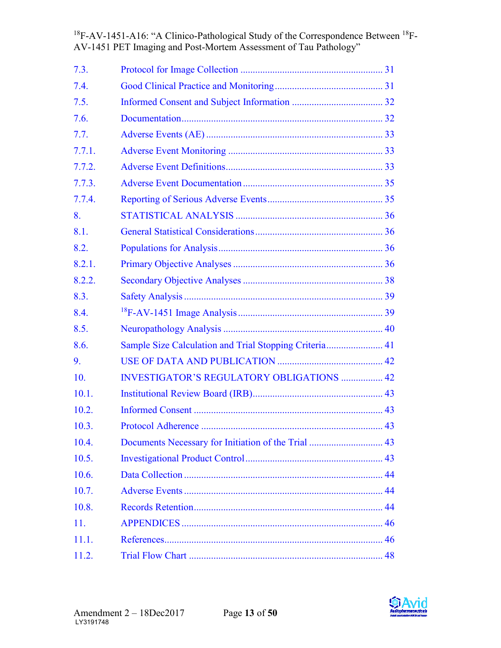| 7.3.   |                                                        |  |
|--------|--------------------------------------------------------|--|
| 7.4.   |                                                        |  |
| 7.5.   |                                                        |  |
| 7.6.   |                                                        |  |
| 7.7.   |                                                        |  |
| 7.7.1. |                                                        |  |
| 7.7.2. |                                                        |  |
| 7.7.3. |                                                        |  |
| 7.7.4. |                                                        |  |
| 8.     |                                                        |  |
| 8.1.   |                                                        |  |
| 8.2.   |                                                        |  |
| 8.2.1. |                                                        |  |
| 8.2.2. |                                                        |  |
| 8.3.   |                                                        |  |
| 8.4.   |                                                        |  |
| 8.5.   |                                                        |  |
| 8.6.   | Sample Size Calculation and Trial Stopping Criteria 41 |  |
| 9.     |                                                        |  |
| 10.    | <b>INVESTIGATOR'S REGULATORY OBLIGATIONS  42</b>       |  |
| 10.1.  |                                                        |  |
| 10.2.  |                                                        |  |
| 10.3.  |                                                        |  |
| 10.4.  |                                                        |  |
| 10.5.  |                                                        |  |
| 10.6.  |                                                        |  |
| 10.7.  |                                                        |  |
| 10.8.  |                                                        |  |
| 11.    |                                                        |  |
| 11.1.  |                                                        |  |
| 11.2.  |                                                        |  |

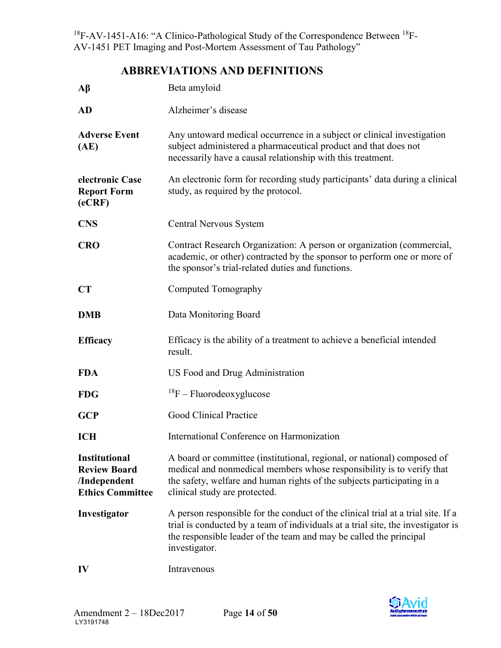## **ABBREVIATIONS AND DEFINITIONS**

| $\mathbf{A}\mathbf{\beta}$                                                             | Beta amyloid                                                                                                                                                                                                                                                 |
|----------------------------------------------------------------------------------------|--------------------------------------------------------------------------------------------------------------------------------------------------------------------------------------------------------------------------------------------------------------|
| <b>AD</b>                                                                              | Alzheimer's disease                                                                                                                                                                                                                                          |
| <b>Adverse Event</b><br>(AE)                                                           | Any untoward medical occurrence in a subject or clinical investigation<br>subject administered a pharmaceutical product and that does not<br>necessarily have a causal relationship with this treatment.                                                     |
| electronic Case<br><b>Report Form</b><br>(eCRF)                                        | An electronic form for recording study participants' data during a clinical<br>study, as required by the protocol.                                                                                                                                           |
| <b>CNS</b>                                                                             | Central Nervous System                                                                                                                                                                                                                                       |
| <b>CRO</b>                                                                             | Contract Research Organization: A person or organization (commercial,<br>academic, or other) contracted by the sponsor to perform one or more of<br>the sponsor's trial-related duties and functions.                                                        |
| CT                                                                                     | Computed Tomography                                                                                                                                                                                                                                          |
| <b>DMB</b>                                                                             | Data Monitoring Board                                                                                                                                                                                                                                        |
| <b>Efficacy</b>                                                                        | Efficacy is the ability of a treatment to achieve a beneficial intended<br>result.                                                                                                                                                                           |
| <b>FDA</b>                                                                             | US Food and Drug Administration                                                                                                                                                                                                                              |
| <b>FDG</b>                                                                             | $^{18}F$ – Fluorodeoxyglucose                                                                                                                                                                                                                                |
| <b>GCP</b>                                                                             | Good Clinical Practice                                                                                                                                                                                                                                       |
| <b>ICH</b>                                                                             | International Conference on Harmonization                                                                                                                                                                                                                    |
| <b>Institutional</b><br><b>Review Board</b><br>/Independent<br><b>Ethics Committee</b> | A board or committee (institutional, regional, or national) composed of<br>medical and nonmedical members whose responsibility is to verify that<br>the safety, welfare and human rights of the subjects participating in a<br>clinical study are protected. |
| Investigator                                                                           | A person responsible for the conduct of the clinical trial at a trial site. If a<br>trial is conducted by a team of individuals at a trial site, the investigator is<br>the responsible leader of the team and may be called the principal<br>investigator.  |
| IV                                                                                     | Intravenous                                                                                                                                                                                                                                                  |

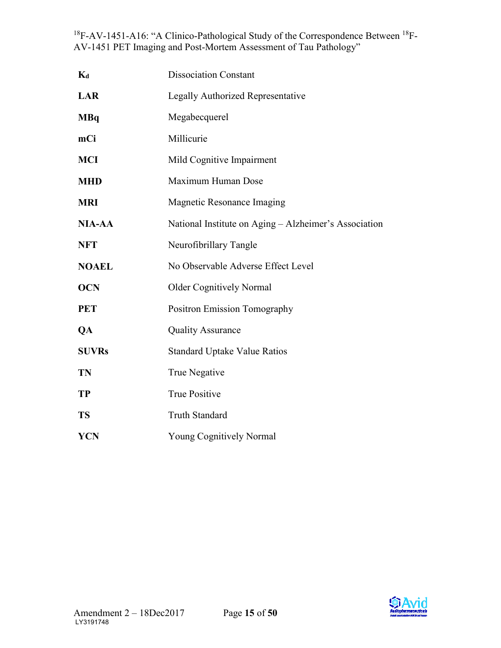| $K_d$         | <b>Dissociation Constant</b>                          |
|---------------|-------------------------------------------------------|
| <b>LAR</b>    | <b>Legally Authorized Representative</b>              |
| <b>MBq</b>    | Megabecquerel                                         |
| mCi           | Millicurie                                            |
| <b>MCI</b>    | Mild Cognitive Impairment                             |
| <b>MHD</b>    | Maximum Human Dose                                    |
| <b>MRI</b>    | <b>Magnetic Resonance Imaging</b>                     |
| <b>NIA-AA</b> | National Institute on Aging - Alzheimer's Association |
| <b>NFT</b>    | Neurofibrillary Tangle                                |
| <b>NOAEL</b>  | No Observable Adverse Effect Level                    |
| <b>OCN</b>    | <b>Older Cognitively Normal</b>                       |
| <b>PET</b>    | <b>Positron Emission Tomography</b>                   |
| QA            | <b>Quality Assurance</b>                              |
| <b>SUVRs</b>  | <b>Standard Uptake Value Ratios</b>                   |
| <b>TN</b>     | True Negative                                         |
| <b>TP</b>     | <b>True Positive</b>                                  |
| <b>TS</b>     | <b>Truth Standard</b>                                 |
| <b>YCN</b>    | <b>Young Cognitively Normal</b>                       |

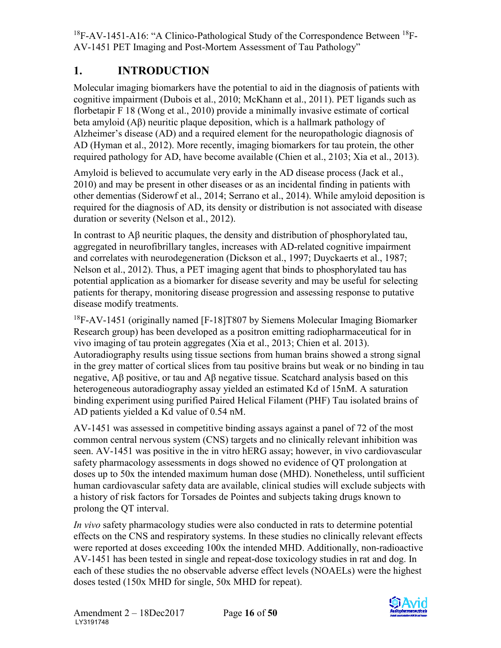# <span id="page-16-0"></span>**1. INTRODUCTION**

Molecular imaging biomarkers have the potential to aid in the diagnosis of patients with cognitive impairment (Dubois et al., 2010; McKhann et al., 2011). PET ligands such as florbetapir F 18 (Wong et al., 2010) provide a minimally invasive estimate of cortical beta amyloid (Aβ) neuritic plaque deposition, which is a hallmark pathology of Alzheimer's disease (AD) and a required element for the neuropathologic diagnosis of AD (Hyman et al., 2012). More recently, imaging biomarkers for tau protein, the other required pathology for AD, have become available (Chien et al., 2103; Xia et al., 2013).

Amyloid is believed to accumulate very early in the AD disease process (Jack et al., 2010) and may be present in other diseases or as an incidental finding in patients with other dementias (Siderowf et al., 2014; Serrano et al., 2014). While amyloid deposition is required for the diagnosis of AD, its density or distribution is not associated with disease duration or severity (Nelson et al., 2012).

In contrast to Aβ neuritic plaques, the density and distribution of phosphorylated tau, aggregated in neurofibrillary tangles, increases with AD-related cognitive impairment and correlates with neurodegeneration (Dickson et al., 1997; Duyckaerts et al., 1987; Nelson et al., 2012). Thus, a PET imaging agent that binds to phosphorylated tau has potential application as a biomarker for disease severity and may be useful for selecting patients for therapy, monitoring disease progression and assessing response to putative disease modify treatments.

<sup>18</sup>F-AV-1451 (originally named [F-18]T807 by Siemens Molecular Imaging Biomarker Research group) has been developed as a positron emitting radiopharmaceutical for in vivo imaging of tau protein aggregates (Xia et al., 2013; Chien et al. 2013). Autoradiography results using tissue sections from human brains showed a strong signal in the grey matter of cortical slices from tau positive brains but weak or no binding in tau negative, Aβ positive, or tau and Aβ negative tissue. Scatchard analysis based on this heterogeneous autoradiography assay yielded an estimated Kd of 15nM. A saturation binding experiment using purified Paired Helical Filament (PHF) Tau isolated brains of AD patients yielded a Kd value of 0.54 nM.

AV-1451 was assessed in competitive binding assays against a panel of 72 of the most common central nervous system (CNS) targets and no clinically relevant inhibition was seen. AV-1451 was positive in the in vitro hERG assay; however, in vivo cardiovascular safety pharmacology assessments in dogs showed no evidence of QT prolongation at doses up to 50x the intended maximum human dose (MHD). Nonetheless, until sufficient human cardiovascular safety data are available, clinical studies will exclude subjects with a history of risk factors for Torsades de Pointes and subjects taking drugs known to prolong the QT interval.

*In vivo* safety pharmacology studies were also conducted in rats to determine potential effects on the CNS and respiratory systems. In these studies no clinically relevant effects were reported at doses exceeding 100x the intended MHD. Additionally, non-radioactive AV-1451 has been tested in single and repeat-dose toxicology studies in rat and dog. In each of these studies the no observable adverse effect levels (NOAELs) were the highest doses tested (150x MHD for single, 50x MHD for repeat).

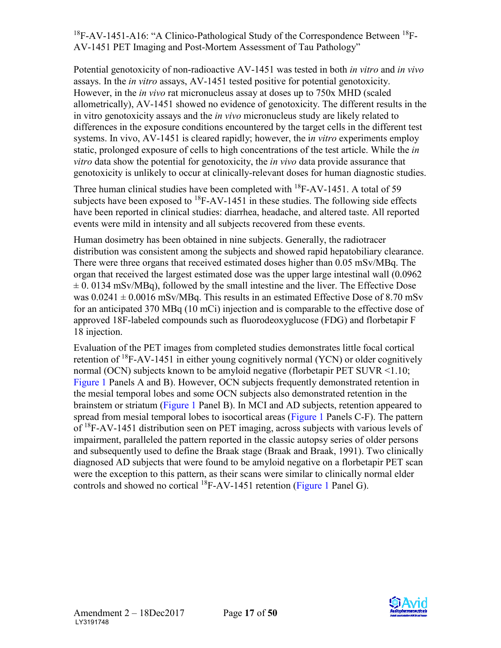Potential genotoxicity of non-radioactive AV-1451 was tested in both *in vitro* and *in vivo*  assays. In the *in vitro* assays, AV-1451 tested positive for potential genotoxicity. However, in the *in vivo* rat micronucleus assay at doses up to 750x MHD (scaled allometrically), AV-1451 showed no evidence of genotoxicity. The different results in the in vitro genotoxicity assays and the *in vivo* micronucleus study are likely related to differences in the exposure conditions encountered by the target cells in the different test systems. In vivo, AV-1451 is cleared rapidly; however, the i*n vitro* experiments employ static, prolonged exposure of cells to high concentrations of the test article. While the *in vitro* data show the potential for genotoxicity, the *in vivo* data provide assurance that genotoxicity is unlikely to occur at clinically-relevant doses for human diagnostic studies.

Three human clinical studies have been completed with  $^{18}$ F-AV-1451. A total of 59 subjects have been exposed to  ${}^{18}$ F-AV-1451 in these studies. The following side effects have been reported in clinical studies: diarrhea, headache, and altered taste. All reported events were mild in intensity and all subjects recovered from these events.

Human dosimetry has been obtained in nine subjects. Generally, the radiotracer distribution was consistent among the subjects and showed rapid hepatobiliary clearance. There were three organs that received estimated doses higher than 0.05 mSv/MBq. The organ that received the largest estimated dose was the upper large intestinal wall (0.0962  $\pm$  0. 0134 mSv/MBq), followed by the small intestine and the liver. The Effective Dose was  $0.0241 \pm 0.0016$  mSv/MBq. This results in an estimated Effective Dose of 8.70 mSv for an anticipated 370 MBq (10 mCi) injection and is comparable to the effective dose of approved 18F-labeled compounds such as fluorodeoxyglucose (FDG) and florbetapir F 18 injection.

Evaluation of the PET images from completed studies demonstrates little focal cortical retention of  $^{18}$ F-AV-1451 in either young cognitively normal (YCN) or older cognitively normal (OCN) subjects known to be amyloid negative (florbetapir PET SUVR <1.10; [Figure 1](#page-18-0) Panels A and B). However, OCN subjects frequently demonstrated retention in the mesial temporal lobes and some OCN subjects also demonstrated retention in the brainstem or striatum [\(Figure 1](#page-18-0) Panel B). In MCI and AD subjects, retention appeared to spread from mesial temporal lobes to isocortical areas [\(Figure 1](#page-18-0) Panels C-F). The pattern of <sup>18</sup>F-AV-1451 distribution seen on PET imaging, across subjects with various levels of impairment, paralleled the pattern reported in the classic autopsy series of older persons and subsequently used to define the Braak stage (Braak and Braak, 1991). Two clinically diagnosed AD subjects that were found to be amyloid negative on a florbetapir PET scan were the exception to this pattern, as their scans were similar to clinically normal elder controls and showed no cortical  ${}^{18}$ F-AV-1451 retention [\(Figure 1](#page-18-0) Panel G).

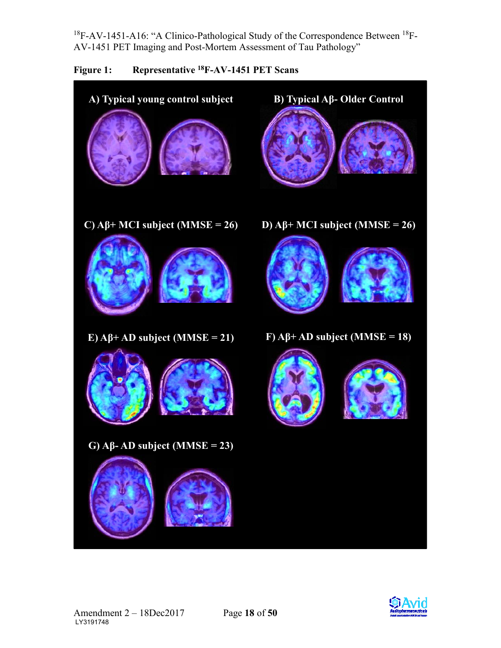

<span id="page-18-0"></span>

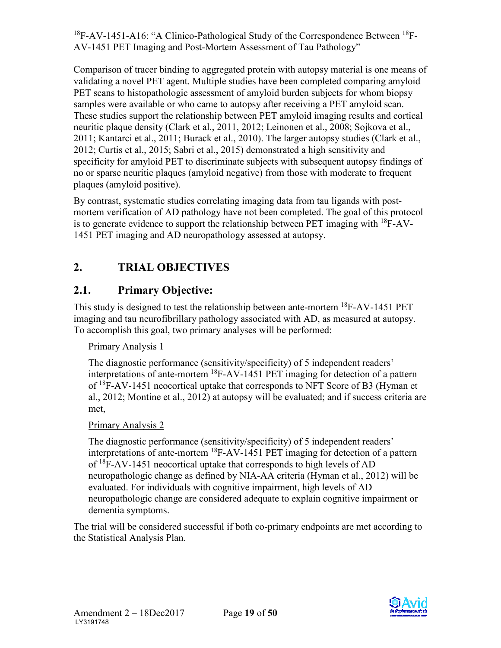Comparison of tracer binding to aggregated protein with autopsy material is one means of validating a novel PET agent. Multiple studies have been completed comparing amyloid PET scans to histopathologic assessment of amyloid burden subjects for whom biopsy samples were available or who came to autopsy after receiving a PET amyloid scan. These studies support the relationship between PET amyloid imaging results and cortical neuritic plaque density (Clark et al., 2011, 2012; Leinonen et al., 2008; Sojkova et al., 2011; Kantarci et al., 2011; Burack et al., 2010). The larger autopsy studies (Clark et al., 2012; Curtis et al., 2015; Sabri et al., 2015) demonstrated a high sensitivity and specificity for amyloid PET to discriminate subjects with subsequent autopsy findings of no or sparse neuritic plaques (amyloid negative) from those with moderate to frequent plaques (amyloid positive).

By contrast, systematic studies correlating imaging data from tau ligands with postmortem verification of AD pathology have not been completed. The goal of this protocol is to generate evidence to support the relationship between PET imaging with  $^{18}$ F-AV-1451 PET imaging and AD neuropathology assessed at autopsy.

# <span id="page-19-0"></span>**2. TRIAL OBJECTIVES**

# <span id="page-19-1"></span>**2.1. Primary Objective:**

This study is designed to test the relationship between ante-mortem 18F-AV-1451 PET imaging and tau neurofibrillary pathology associated with AD, as measured at autopsy. To accomplish this goal, two primary analyses will be performed:

## Primary Analysis 1

The diagnostic performance (sensitivity/specificity) of 5 independent readers' interpretations of ante-mortem 18F-AV-1451 PET imaging for detection of a pattern of <sup>18</sup>F-AV-1451 neocortical uptake that corresponds to NFT Score of B3 (Hyman et al., 2012; Montine et al., 2012) at autopsy will be evaluated; and if success criteria are met,

## Primary Analysis 2

The diagnostic performance (sensitivity/specificity) of 5 independent readers' interpretations of ante-mortem 18F-AV-1451 PET imaging for detection of a pattern of <sup>18</sup>F-AV-1451 neocortical uptake that corresponds to high levels of AD neuropathologic change as defined by NIA-AA criteria (Hyman et al., 2012) will be evaluated. For individuals with cognitive impairment, high levels of AD neuropathologic change are considered adequate to explain cognitive impairment or dementia symptoms.

The trial will be considered successful if both co-primary endpoints are met according to the Statistical Analysis Plan.

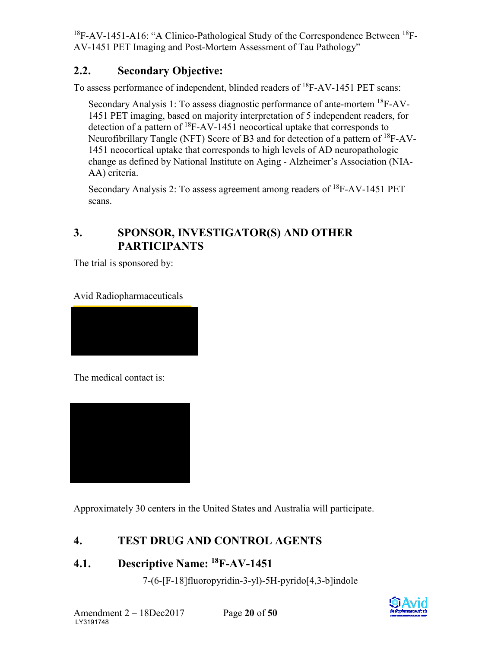# <span id="page-20-0"></span>**2.2. Secondary Objective:**

To assess performance of independent, blinded readers of  ${}^{18}$ F-AV-1451 PET scans:

Secondary Analysis 1: To assess diagnostic performance of ante-mortem 18F-AV-1451 PET imaging, based on majority interpretation of 5 independent readers, for detection of a pattern of  ${}^{18}$ F-AV-1451 neocortical uptake that corresponds to Neurofibrillary Tangle (NFT) Score of B3 and for detection of a pattern of 18F-AV-1451 neocortical uptake that corresponds to high levels of AD neuropathologic change as defined by National Institute on Aging - Alzheimer's Association (NIA-AA) criteria.

Secondary Analysis 2: To assess agreement among readers of  ${}^{18}$ F-AV-1451 PET scans.

# <span id="page-20-1"></span>**3. SPONSOR, INVESTIGATOR(S) AND OTHER PARTICIPANTS**

The trial is sponsored by:

Avid Radiopharmaceuticals

The medical contact is:



Approximately 30 centers in the United States and Australia will participate.

# <span id="page-20-2"></span>**4. TEST DRUG AND CONTROL AGENTS**

# <span id="page-20-3"></span>**4.1. Descriptive Name: 18F-AV-1451**

7-(6-[F-18]fluoropyridin-3-yl)-5H-pyrido[4,3-b]indole

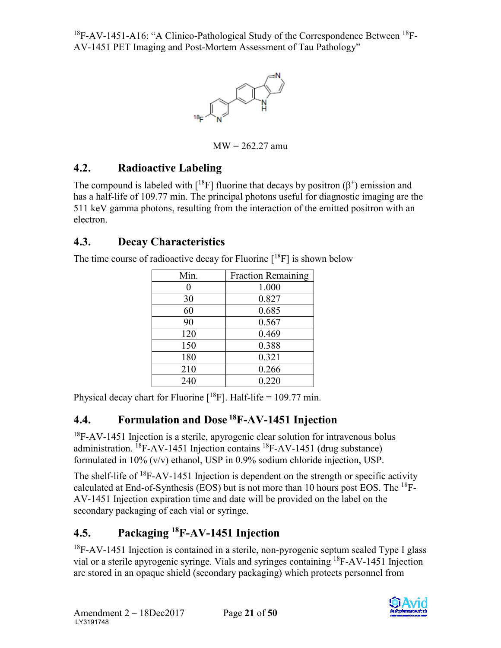

 $MW = 262.27$  amu

# <span id="page-21-0"></span>**4.2. Radioactive Labeling**

The compound is labeled with  $[18F]$  fluorine that decays by positron  $(\beta^+)$  emission and has a half-life of 109.77 min. The principal photons useful for diagnostic imaging are the 511 keV gamma photons, resulting from the interaction of the emitted positron with an electron.

# <span id="page-21-1"></span>**4.3. Decay Characteristics**

The time course of radioactive decay for Fluorine  $[18F]$  is shown below

| Min. | <b>Fraction Remaining</b> |
|------|---------------------------|
|      | 1.000                     |
| 30   | 0.827                     |
| 60   | 0.685                     |
| 90   | 0.567                     |
| 120  | 0.469                     |
| 150  | 0.388                     |
| 180  | 0.321                     |
| 210  | 0.266                     |
| 240  | 0.220                     |

Physical decay chart for Fluorine  $[{}^{18}F]$ . Half-life = 109.77 min.

# <span id="page-21-2"></span>**4.4. Formulation and Dose 18F-AV-1451 Injection**

 $18F-AV-1451$  Injection is a sterile, apyrogenic clear solution for intravenous bolus administration.  ${}^{18}$ F-AV-1451 Injection contains  ${}^{18}$ F-AV-1451 (drug substance) formulated in 10% (v/v) ethanol, USP in 0.9% sodium chloride injection, USP.

The shelf-life of  ${}^{18}$ F-AV-1451 Injection is dependent on the strength or specific activity calculated at End-of-Synthesis (EOS) but is not more than 10 hours post EOS. The  $^{18}F$ -AV-1451 Injection expiration time and date will be provided on the label on the secondary packaging of each vial or syringe.

# <span id="page-21-3"></span>**4.5. Packaging 18F-AV-1451 Injection**

 $18F-AV-1451$  Injection is contained in a sterile, non-pyrogenic septum sealed Type I glass vial or a sterile apyrogenic syringe. Vials and syringes containing 18F-AV-1451 Injection are stored in an opaque shield (secondary packaging) which protects personnel from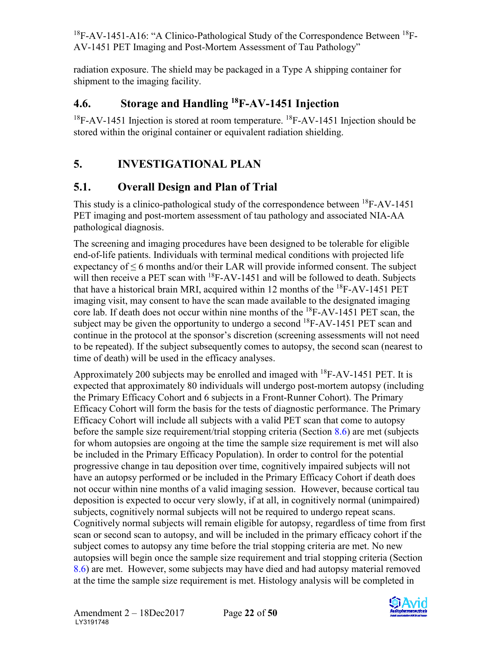radiation exposure. The shield may be packaged in a Type A shipping container for shipment to the imaging facility.

## <span id="page-22-0"></span>**4.6. Storage and Handling 18F-AV-1451 Injection**

 $18F-AV-1451$  Injection is stored at room temperature.  $18F-AV-1451$  Injection should be stored within the original container or equivalent radiation shielding.

# <span id="page-22-1"></span>**5. INVESTIGATIONAL PLAN**

## <span id="page-22-2"></span>**5.1. Overall Design and Plan of Trial**

This study is a clinico-pathological study of the correspondence between <sup>18</sup>F-AV-1451 PET imaging and post-mortem assessment of tau pathology and associated NIA-AA pathological diagnosis.

The screening and imaging procedures have been designed to be tolerable for eligible end-of-life patients. Individuals with terminal medical conditions with projected life expectancy of ≤ 6 months and/or their LAR will provide informed consent. The subject will then receive a PET scan with  ${}^{18}$ F-AV-1451 and will be followed to death. Subjects that have a historical brain MRI, acquired within 12 months of the  ${}^{18}$ F-AV-1451 PET imaging visit, may consent to have the scan made available to the designated imaging core lab. If death does not occur within nine months of the <sup>18</sup>F-AV-1451 PET scan, the subject may be given the opportunity to undergo a second  $^{18}$ F-AV-1451 PET scan and continue in the protocol at the sponsor's discretion (screening assessments will not need to be repeated). If the subject subsequently comes to autopsy, the second scan (nearest to time of death) will be used in the efficacy analyses.

Approximately 200 subjects may be enrolled and imaged with <sup>18</sup>F-AV-1451 PET. It is expected that approximately 80 individuals will undergo post-mortem autopsy (including the Primary Efficacy Cohort and 6 subjects in a Front-Runner Cohort). The Primary Efficacy Cohort will form the basis for the tests of diagnostic performance. The Primary Efficacy Cohort will include all subjects with a valid PET scan that come to autopsy before the sample size requirement/trial stopping criteria (Section [8.6](#page-41-1)) are met (subjects for whom autopsies are ongoing at the time the sample size requirement is met will also be included in the Primary Efficacy Population). In order to control for the potential progressive change in tau deposition over time, cognitively impaired subjects will not have an autopsy performed or be included in the Primary Efficacy Cohort if death does not occur within nine months of a valid imaging session. However, because cortical tau deposition is expected to occur very slowly, if at all, in cognitively normal (unimpaired) subjects, cognitively normal subjects will not be required to undergo repeat scans. Cognitively normal subjects will remain eligible for autopsy, regardless of time from first scan or second scan to autopsy, and will be included in the primary efficacy cohort if the subject comes to autopsy any time before the trial stopping criteria are met. No new autopsies will begin once the sample size requirement and trial stopping criteria (Section [8.6\)](#page-41-1) are met. However, some subjects may have died and had autopsy material removed at the time the sample size requirement is met. Histology analysis will be completed in

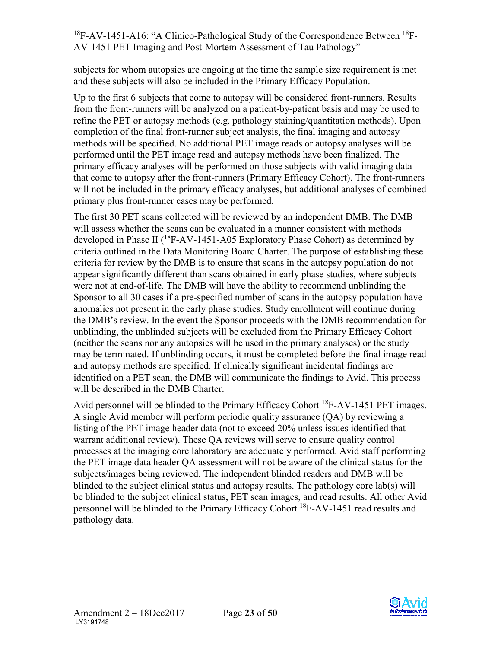subjects for whom autopsies are ongoing at the time the sample size requirement is met and these subjects will also be included in the Primary Efficacy Population.

Up to the first 6 subjects that come to autopsy will be considered front-runners. Results from the front-runners will be analyzed on a patient-by-patient basis and may be used to refine the PET or autopsy methods (e.g. pathology staining/quantitation methods). Upon completion of the final front-runner subject analysis, the final imaging and autopsy methods will be specified. No additional PET image reads or autopsy analyses will be performed until the PET image read and autopsy methods have been finalized. The primary efficacy analyses will be performed on those subjects with valid imaging data that come to autopsy after the front-runners (Primary Efficacy Cohort). The front-runners will not be included in the primary efficacy analyses, but additional analyses of combined primary plus front-runner cases may be performed.

The first 30 PET scans collected will be reviewed by an independent DMB. The DMB will assess whether the scans can be evaluated in a manner consistent with methods developed in Phase II ( $^{18}$ F-AV-1451-A05 Exploratory Phase Cohort) as determined by criteria outlined in the Data Monitoring Board Charter. The purpose of establishing these criteria for review by the DMB is to ensure that scans in the autopsy population do not appear significantly different than scans obtained in early phase studies, where subjects were not at end-of-life. The DMB will have the ability to recommend unblinding the Sponsor to all 30 cases if a pre-specified number of scans in the autopsy population have anomalies not present in the early phase studies. Study enrollment will continue during the DMB's review. In the event the Sponsor proceeds with the DMB recommendation for unblinding, the unblinded subjects will be excluded from the Primary Efficacy Cohort (neither the scans nor any autopsies will be used in the primary analyses) or the study may be terminated. If unblinding occurs, it must be completed before the final image read and autopsy methods are specified. If clinically significant incidental findings are identified on a PET scan, the DMB will communicate the findings to Avid. This process will be described in the DMB Charter.

Avid personnel will be blinded to the Primary Efficacy Cohort  ${}^{18}F$ -AV-1451 PET images. A single Avid member will perform periodic quality assurance (QA) by reviewing a listing of the PET image header data (not to exceed 20% unless issues identified that warrant additional review). These QA reviews will serve to ensure quality control processes at the imaging core laboratory are adequately performed. Avid staff performing the PET image data header QA assessment will not be aware of the clinical status for the subjects/images being reviewed. The independent blinded readers and DMB will be blinded to the subject clinical status and autopsy results. The pathology core lab(s) will be blinded to the subject clinical status, PET scan images, and read results. All other Avid personnel will be blinded to the Primary Efficacy Cohort 18F-AV-1451 read results and pathology data.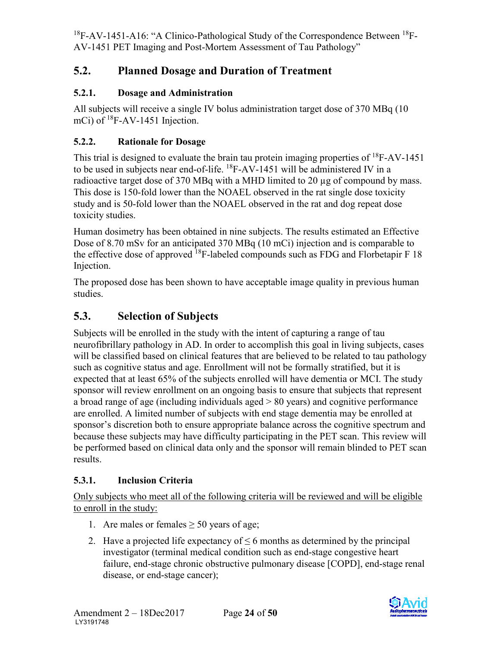# <span id="page-24-1"></span><span id="page-24-0"></span>**5.2. Planned Dosage and Duration of Treatment**

## <span id="page-24-2"></span>**5.2.1. Dosage and Administration**

All subjects will receive a single IV bolus administration target dose of 370 MBq (10 mCi) of  ${}^{18}$ F-AV-1451 Injection.

## <span id="page-24-3"></span>**5.2.2. Rationale for Dosage**

This trial is designed to evaluate the brain tau protein imaging properties of <sup>18</sup>F-AV-1451 to be used in subjects near end-of-life.  ${}^{18}$ F-AV-1451 will be administered IV in a radioactive target dose of 370 MBq with a MHD limited to 20 µg of compound by mass. This dose is 150-fold lower than the NOAEL observed in the rat single dose toxicity study and is 50-fold lower than the NOAEL observed in the rat and dog repeat dose toxicity studies.

Human dosimetry has been obtained in nine subjects. The results estimated an Effective Dose of 8.70 mSv for an anticipated 370 MBq (10 mCi) injection and is comparable to the effective dose of approved  $^{18}F$ -labeled compounds such as FDG and Florbetapir F 18 Injection.

The proposed dose has been shown to have acceptable image quality in previous human studies.

# <span id="page-24-4"></span>**5.3. Selection of Subjects**

Subjects will be enrolled in the study with the intent of capturing a range of tau neurofibrillary pathology in AD. In order to accomplish this goal in living subjects, cases will be classified based on clinical features that are believed to be related to tau pathology such as cognitive status and age. Enrollment will not be formally stratified, but it is expected that at least 65% of the subjects enrolled will have dementia or MCI. The study sponsor will review enrollment on an ongoing basis to ensure that subjects that represent a broad range of age (including individuals aged > 80 years) and cognitive performance are enrolled. A limited number of subjects with end stage dementia may be enrolled at sponsor's discretion both to ensure appropriate balance across the cognitive spectrum and because these subjects may have difficulty participating in the PET scan. This review will be performed based on clinical data only and the sponsor will remain blinded to PET scan results.

#### <span id="page-24-5"></span>**5.3.1. Inclusion Criteria**

Only subjects who meet all of the following criteria will be reviewed and will be eligible to enroll in the study:

- 1. Are males or females  $\geq 50$  years of age;
- 2. Have a projected life expectancy of  $\leq 6$  months as determined by the principal investigator (terminal medical condition such as end-stage congestive heart failure, end-stage chronic obstructive pulmonary disease [COPD], end-stage renal disease, or end-stage cancer);

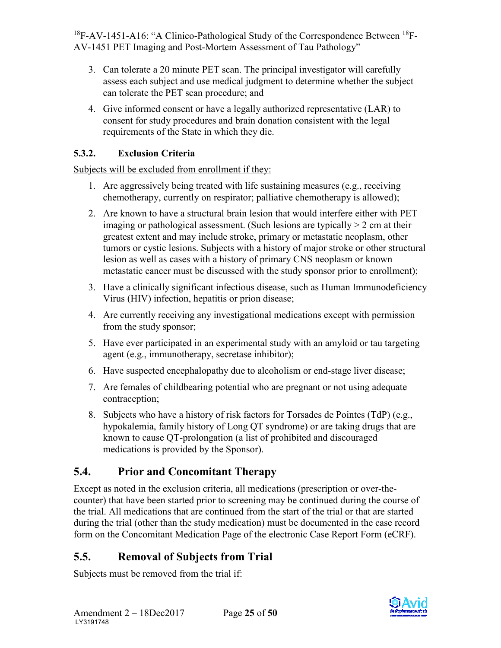- 3. Can tolerate a 20 minute PET scan. The principal investigator will carefully assess each subject and use medical judgment to determine whether the subject can tolerate the PET scan procedure; and
- 4. Give informed consent or have a legally authorized representative (LAR) to consent for study procedures and brain donation consistent with the legal requirements of the State in which they die.

## <span id="page-25-0"></span>**5.3.2. Exclusion Criteria**

Subjects will be excluded from enrollment if they:

- 1. Are aggressively being treated with life sustaining measures (e.g., receiving chemotherapy, currently on respirator; palliative chemotherapy is allowed);
- 2. Are known to have a structural brain lesion that would interfere either with PET imaging or pathological assessment. (Such lesions are typically  $> 2$  cm at their greatest extent and may include stroke, primary or metastatic neoplasm, other tumors or cystic lesions. Subjects with a history of major stroke or other structural lesion as well as cases with a history of primary CNS neoplasm or known metastatic cancer must be discussed with the study sponsor prior to enrollment);
- 3. Have a clinically significant infectious disease, such as Human Immunodeficiency Virus (HIV) infection, hepatitis or prion disease;
- 4. Are currently receiving any investigational medications except with permission from the study sponsor;
- 5. Have ever participated in an experimental study with an amyloid or tau targeting agent (e.g., immunotherapy, secretase inhibitor);
- 6. Have suspected encephalopathy due to alcoholism or end-stage liver disease;
- 7. Are females of childbearing potential who are pregnant or not using adequate contraception;
- 8. Subjects who have a history of risk factors for Torsades de Pointes (TdP) (e.g., hypokalemia, family history of Long QT syndrome) or are taking drugs that are known to cause QT-prolongation (a list of prohibited and discouraged medications is provided by the Sponsor).

# <span id="page-25-1"></span>**5.4. Prior and Concomitant Therapy**

Except as noted in the exclusion criteria, all medications (prescription or over-thecounter) that have been started prior to screening may be continued during the course of the trial. All medications that are continued from the start of the trial or that are started during the trial (other than the study medication) must be documented in the case record form on the Concomitant Medication Page of the electronic Case Report Form (eCRF).

# <span id="page-25-2"></span>**5.5. Removal of Subjects from Trial**

Subjects must be removed from the trial if:

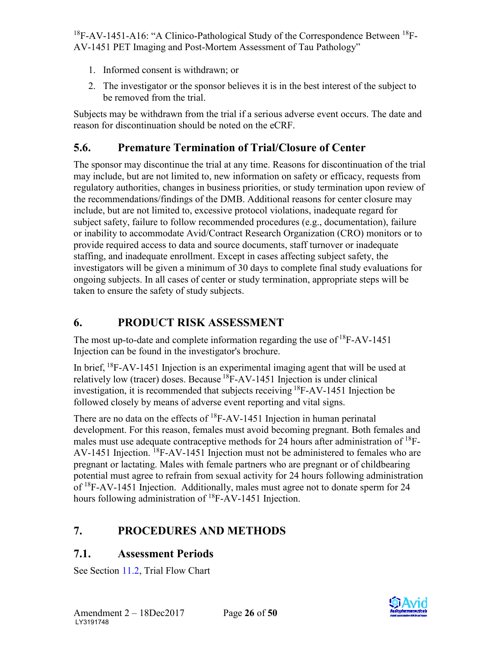- <span id="page-26-0"></span>1. Informed consent is withdrawn; or
- 2. The investigator or the sponsor believes it is in the best interest of the subject to be removed from the trial.

Subjects may be withdrawn from the trial if a serious adverse event occurs. The date and reason for discontinuation should be noted on the eCRF.

# <span id="page-26-1"></span>**5.6. Premature Termination of Trial/Closure of Center**

The sponsor may discontinue the trial at any time. Reasons for discontinuation of the trial may include, but are not limited to, new information on safety or efficacy, requests from regulatory authorities, changes in business priorities, or study termination upon review of the recommendations/findings of the DMB. Additional reasons for center closure may include, but are not limited to, excessive protocol violations, inadequate regard for subject safety, failure to follow recommended procedures (e.g., documentation), failure or inability to accommodate Avid/Contract Research Organization (CRO) monitors or to provide required access to data and source documents, staff turnover or inadequate staffing, and inadequate enrollment. Except in cases affecting subject safety, the investigators will be given a minimum of 30 days to complete final study evaluations for ongoing subjects. In all cases of center or study termination, appropriate steps will be taken to ensure the safety of study subjects.

# <span id="page-26-2"></span>**6. PRODUCT RISK ASSESSMENT**

The most up-to-date and complete information regarding the use of  $^{18}$ F-AV-1451 Injection can be found in the investigator's brochure.

In brief,  ${}^{18}$ F-AV-1451 Injection is an experimental imaging agent that will be used at relatively low (tracer) doses. Because  ${}^{18}$ F-AV-1451 Injection is under clinical investigation, it is recommended that subjects receiving 18F-AV-1451 Injection be followed closely by means of adverse event reporting and vital signs.

There are no data on the effects of  ${}^{18}$ F-AV-1451 Injection in human perinatal development. For this reason, females must avoid becoming pregnant. Both females and males must use adequate contraceptive methods for 24 hours after administration of  $^{18}$ F-AV-1451 Injection. <sup>18</sup>F-AV-1451 Injection must not be administered to females who are pregnant or lactating. Males with female partners who are pregnant or of childbearing potential must agree to refrain from sexual activity for 24 hours following administration of 18F-AV-1451 Injection. Additionally, males must agree not to donate sperm for 24 hours following administration of <sup>18</sup>F-AV-1451 Injection.

# <span id="page-26-3"></span>**7. PROCEDURES AND METHODS**

# <span id="page-26-4"></span>**7.1. Assessment Periods**

See Section [11.2](#page-48-1), Trial Flow Chart

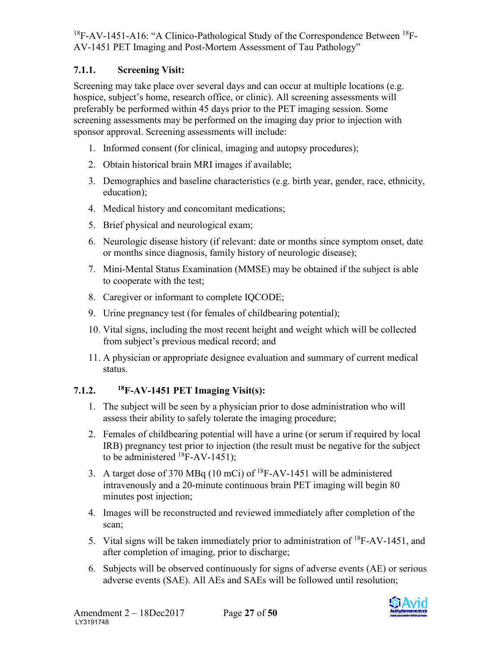#### <span id="page-27-2"></span><span id="page-27-0"></span>**7.1.1. Screening Visit:**

Screening may take place over several days and can occur at multiple locations (e.g. hospice, subject's home, research office, or clinic). All screening assessments will preferably be performed within 45 days prior to the PET imaging session. Some screening assessments may be performed on the imaging day prior to injection with sponsor approval. Screening assessments will include:

- 1. Informed consent (for clinical, imaging and autopsy procedures);
- 2. Obtain historical brain MRI images if available;
- 3. Demographics and baseline characteristics (e.g. birth year, gender, race, ethnicity, education);
- 4. Medical history and concomitant medications;
- 5. Brief physical and neurological exam;
- 6. Neurologic disease history (if relevant: date or months since symptom onset, date or months since diagnosis, family history of neurologic disease);
- 7. Mini-Mental Status Examination (MMSE) may be obtained if the subject is able to cooperate with the test;
- 8. Caregiver or informant to complete IQCODE;
- 9. Urine pregnancy test (for females of childbearing potential);
- 10. Vital signs, including the most recent height and weight which will be collected from subject's previous medical record; and
- 11. A physician or appropriate designee evaluation and summary of current medical status.

#### <span id="page-27-1"></span>**7.1.2. 18F-AV-1451 PET Imaging Visit(s):**

- 1. The subject will be seen by a physician prior to dose administration who will assess their ability to safely tolerate the imaging procedure;
- 2. Females of childbearing potential will have a urine (or serum if required by local IRB) pregnancy test prior to injection (the result must be negative for the subject to be administered  ${}^{18}$ F-AV-1451);
- 3. A target dose of 370 MBq (10 mCi) of 18F-AV-1451 will be administered intravenously and a 20-minute continuous brain PET imaging will begin 80 minutes post injection;
- 4. Images will be reconstructed and reviewed immediately after completion of the scan;
- 5. Vital signs will be taken immediately prior to administration of 18F-AV-1451, and after completion of imaging, prior to discharge;
- 6. Subjects will be observed continuously for signs of adverse events (AE) or serious adverse events (SAE). All AEs and SAEs will be followed until resolution;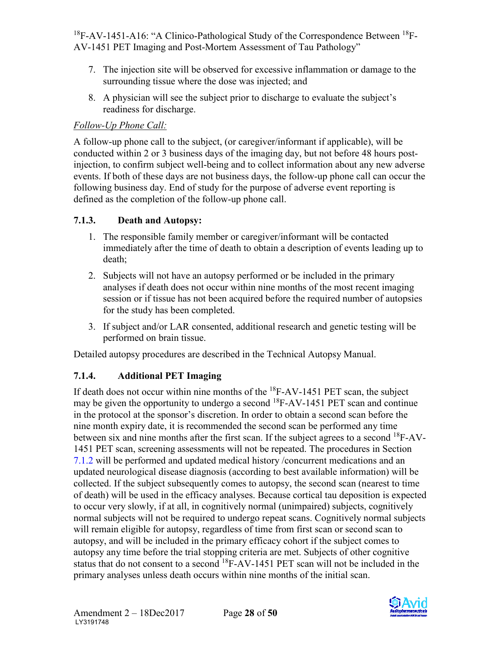- 7. The injection site will be observed for excessive inflammation or damage to the surrounding tissue where the dose was injected; and
- 8. A physician will see the subject prior to discharge to evaluate the subject's readiness for discharge.

#### *Follow-Up Phone Call:*

A follow-up phone call to the subject, (or caregiver/informant if applicable), will be conducted within 2 or 3 business days of the imaging day, but not before 48 hours postinjection, to confirm subject well-being and to collect information about any new adverse events. If both of these days are not business days, the follow-up phone call can occur the following business day. End of study for the purpose of adverse event reporting is defined as the completion of the follow-up phone call.

#### <span id="page-28-0"></span>**7.1.3. Death and Autopsy:**

- 1. The responsible family member or caregiver/informant will be contacted immediately after the time of death to obtain a description of events leading up to death;
- 2. Subjects will not have an autopsy performed or be included in the primary analyses if death does not occur within nine months of the most recent imaging session or if tissue has not been acquired before the required number of autopsies for the study has been completed.
- 3. If subject and/or LAR consented, additional research and genetic testing will be performed on brain tissue.

Detailed autopsy procedures are described in the Technical Autopsy Manual.

## <span id="page-28-1"></span>**7.1.4. Additional PET Imaging**

If death does not occur within nine months of the  ${}^{18}$ F-AV-1451 PET scan, the subject may be given the opportunity to undergo a second  $^{18}$ F-AV-1451 PET scan and continue in the protocol at the sponsor's discretion. In order to obtain a second scan before the nine month expiry date, it is recommended the second scan be performed any time between six and nine months after the first scan. If the subject agrees to a second <sup>18</sup>F-AV-1451 PET scan, screening assessments will not be repeated. The procedures in Section [7.1.2](#page-27-2) will be performed and updated medical history /concurrent medications and an updated neurological disease diagnosis (according to best available information) will be collected. If the subject subsequently comes to autopsy, the second scan (nearest to time of death) will be used in the efficacy analyses. Because cortical tau deposition is expected to occur very slowly, if at all, in cognitively normal (unimpaired) subjects, cognitively normal subjects will not be required to undergo repeat scans. Cognitively normal subjects will remain eligible for autopsy, regardless of time from first scan or second scan to autopsy, and will be included in the primary efficacy cohort if the subject comes to autopsy any time before the trial stopping criteria are met. Subjects of other cognitive status that do not consent to a second <sup>18</sup>F-AV-1451 PET scan will not be included in the primary analyses unless death occurs within nine months of the initial scan.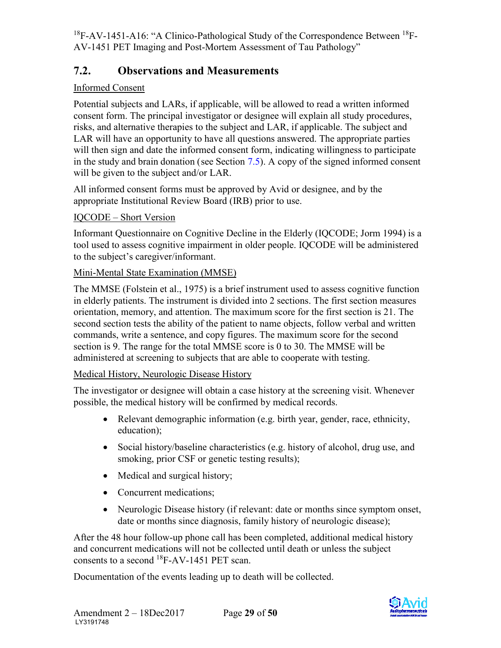## <span id="page-29-0"></span>**7.2. Observations and Measurements**

#### Informed Consent

Potential subjects and LARs, if applicable, will be allowed to read a written informed consent form. The principal investigator or designee will explain all study procedures, risks, and alternative therapies to the subject and LAR, if applicable. The subject and LAR will have an opportunity to have all questions answered. The appropriate parties will then sign and date the informed consent form, indicating willingness to participate in the study and brain donation (see Section [7.5\)](#page-32-2). A copy of the signed informed consent will be given to the subject and/or LAR.

All informed consent forms must be approved by Avid or designee, and by the appropriate Institutional Review Board (IRB) prior to use.

#### IQCODE – Short Version

Informant Questionnaire on Cognitive Decline in the Elderly (IQCODE; Jorm 1994) is a tool used to assess cognitive impairment in older people. IQCODE will be administered to the subject's caregiver/informant.

#### Mini-Mental State Examination (MMSE)

The MMSE (Folstein et al., 1975) is a brief instrument used to assess cognitive function in elderly patients. The instrument is divided into 2 sections. The first section measures orientation, memory, and attention. The maximum score for the first section is 21. The second section tests the ability of the patient to name objects, follow verbal and written commands, write a sentence, and copy figures. The maximum score for the second section is 9. The range for the total MMSE score is 0 to 30. The MMSE will be administered at screening to subjects that are able to cooperate with testing.

#### Medical History, Neurologic Disease History

The investigator or designee will obtain a case history at the screening visit. Whenever possible, the medical history will be confirmed by medical records.

- Relevant demographic information (e.g. birth year, gender, race, ethnicity, education);
- Social history/baseline characteristics (e.g. history of alcohol, drug use, and smoking, prior CSF or genetic testing results);
- Medical and surgical history;
- Concurrent medications:
- Neurologic Disease history (if relevant: date or months since symptom onset, date or months since diagnosis, family history of neurologic disease);

After the 48 hour follow-up phone call has been completed, additional medical history and concurrent medications will not be collected until death or unless the subject consents to a second 18F-AV-1451 PET scan.

Documentation of the events leading up to death will be collected.

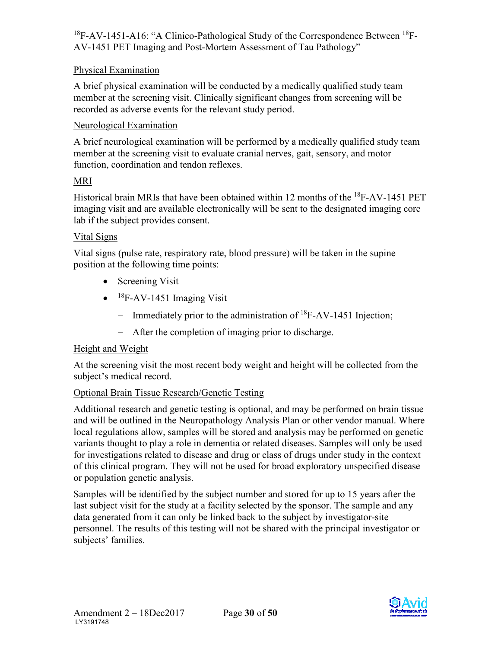#### Physical Examination

A brief physical examination will be conducted by a medically qualified study team member at the screening visit. Clinically significant changes from screening will be recorded as adverse events for the relevant study period.

#### Neurological Examination

A brief neurological examination will be performed by a medically qualified study team member at the screening visit to evaluate cranial nerves, gait, sensory, and motor function, coordination and tendon reflexes.

#### MRI

Historical brain MRIs that have been obtained within 12 months of the 18F-AV-1451 PET imaging visit and are available electronically will be sent to the designated imaging core lab if the subject provides consent.

#### Vital Signs

Vital signs (pulse rate, respiratory rate, blood pressure) will be taken in the supine position at the following time points:

- Screening Visit
- $\bullet$  <sup>18</sup>F-AV-1451 Imaging Visit
	- − Immediately prior to the administration of 18F-AV-1451 Injection;
	- − After the completion of imaging prior to discharge.

#### Height and Weight

At the screening visit the most recent body weight and height will be collected from the subject's medical record.

#### Optional Brain Tissue Research/Genetic Testing

Additional research and genetic testing is optional, and may be performed on brain tissue and will be outlined in the Neuropathology Analysis Plan or other vendor manual. Where local regulations allow, samples will be stored and analysis may be performed on genetic variants thought to play a role in dementia or related diseases. Samples will only be used for investigations related to disease and drug or class of drugs under study in the context of this clinical program. They will not be used for broad exploratory unspecified disease or population genetic analysis.

Samples will be identified by the subject number and stored for up to 15 years after the last subject visit for the study at a facility selected by the sponsor. The sample and any data generated from it can only be linked back to the subject by investigator-site personnel. The results of this testing will not be shared with the principal investigator or subjects' families.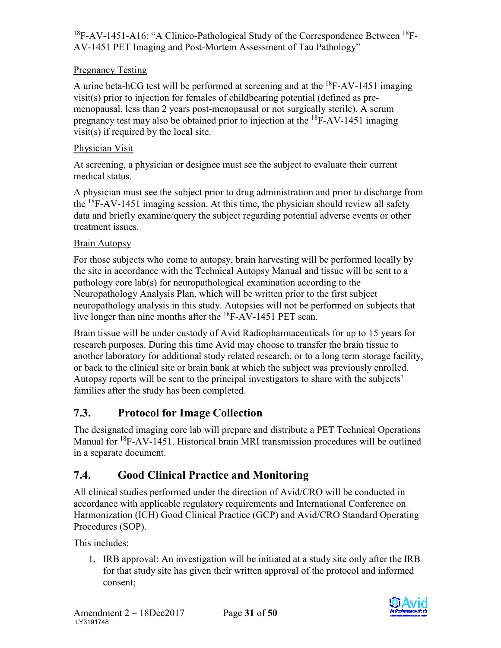#### Pregnancy Testing

A urine beta-hCG test will be performed at screening and at the  ${}^{18}$ F-AV-1451 imaging visit(s) prior to injection for females of childbearing potential (defined as premenopausal, less than 2 years post-menopausal or not surgically sterile). A serum pregnancy test may also be obtained prior to injection at the  ${}^{18}F$ -AV-1451 imaging visit(s) if required by the local site.

#### Physician Visit

At screening, a physician or designee must see the subject to evaluate their current medical status.

A physician must see the subject prior to drug administration and prior to discharge from the  ${}^{18}$ F-AV-1451 imaging session. At this time, the physician should review all safety data and briefly examine/query the subject regarding potential adverse events or other treatment issues.

#### Brain Autopsy

For those subjects who come to autopsy, brain harvesting will be performed locally by the site in accordance with the Technical Autopsy Manual and tissue will be sent to a pathology core lab(s) for neuropathological examination according to the Neuropathology Analysis Plan, which will be written prior to the first subject neuropathology analysis in this study. Autopsies will not be performed on subjects that live longer than nine months after the  $^{18}$ F-AV-1451 PET scan.

Brain tissue will be under custody of Avid Radiopharmaceuticals for up to 15 years for research purposes. During this time Avid may choose to transfer the brain tissue to another laboratory for additional study related research, or to a long term storage facility, or back to the clinical site or brain bank at which the subject was previously enrolled. Autopsy reports will be sent to the principal investigators to share with the subjects' families after the study has been completed.

## <span id="page-31-0"></span>**7.3. Protocol for Image Collection**

The designated imaging core lab will prepare and distribute a PET Technical Operations Manual for <sup>18</sup>F-AV-1451. Historical brain MRI transmission procedures will be outlined in a separate document.

## <span id="page-31-1"></span>**7.4. Good Clinical Practice and Monitoring**

All clinical studies performed under the direction of Avid/CRO will be conducted in accordance with applicable regulatory requirements and International Conference on Harmonization (ICH) Good Clinical Practice (GCP) and Avid/CRO Standard Operating Procedures (SOP).

This includes:

1. IRB approval: An investigation will be initiated at a study site only after the IRB for that study site has given their written approval of the protocol and informed consent;

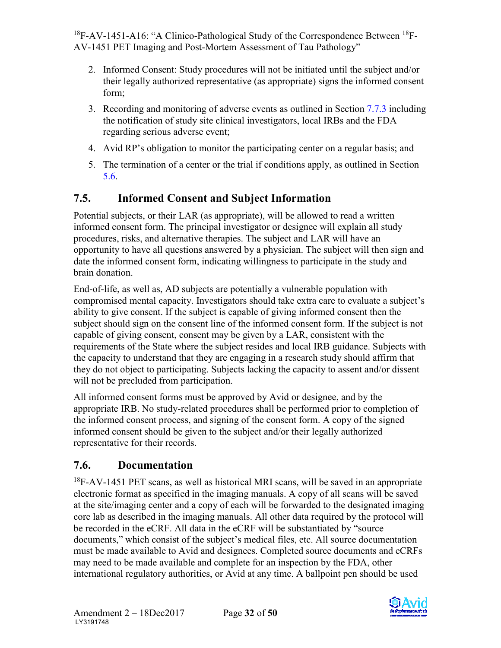- <span id="page-32-2"></span>2. Informed Consent: Study procedures will not be initiated until the subject and/or their legally authorized representative (as appropriate) signs the informed consent form;
- 3. Recording and monitoring of adverse events as outlined in Section [7.7.3](#page-35-2) including the notification of study site clinical investigators, local IRBs and the FDA regarding serious adverse event;
- 4. Avid RP's obligation to monitor the participating center on a regular basis; and
- 5. The termination of a center or the trial if conditions apply, as outlined in Section [5.6.](#page-26-0)

# <span id="page-32-0"></span>**7.5. Informed Consent and Subject Information**

Potential subjects, or their LAR (as appropriate), will be allowed to read a written informed consent form. The principal investigator or designee will explain all study procedures, risks, and alternative therapies. The subject and LAR will have an opportunity to have all questions answered by a physician. The subject will then sign and date the informed consent form, indicating willingness to participate in the study and brain donation.

End-of-life, as well as, AD subjects are potentially a vulnerable population with compromised mental capacity. Investigators should take extra care to evaluate a subject's ability to give consent. If the subject is capable of giving informed consent then the subject should sign on the consent line of the informed consent form. If the subject is not capable of giving consent, consent may be given by a LAR, consistent with the requirements of the State where the subject resides and local IRB guidance. Subjects with the capacity to understand that they are engaging in a research study should affirm that they do not object to participating. Subjects lacking the capacity to assent and/or dissent will not be precluded from participation.

All informed consent forms must be approved by Avid or designee, and by the appropriate IRB. No study-related procedures shall be performed prior to completion of the informed consent process, and signing of the consent form. A copy of the signed informed consent should be given to the subject and/or their legally authorized representative for their records.

# <span id="page-32-1"></span>**7.6. Documentation**

 $18F-AV-1451$  PET scans, as well as historical MRI scans, will be saved in an appropriate electronic format as specified in the imaging manuals. A copy of all scans will be saved at the site/imaging center and a copy of each will be forwarded to the designated imaging core lab as described in the imaging manuals. All other data required by the protocol will be recorded in the eCRF. All data in the eCRF will be substantiated by "source documents," which consist of the subject's medical files, etc. All source documentation must be made available to Avid and designees. Completed source documents and eCRFs may need to be made available and complete for an inspection by the FDA, other international regulatory authorities, or Avid at any time. A ballpoint pen should be used

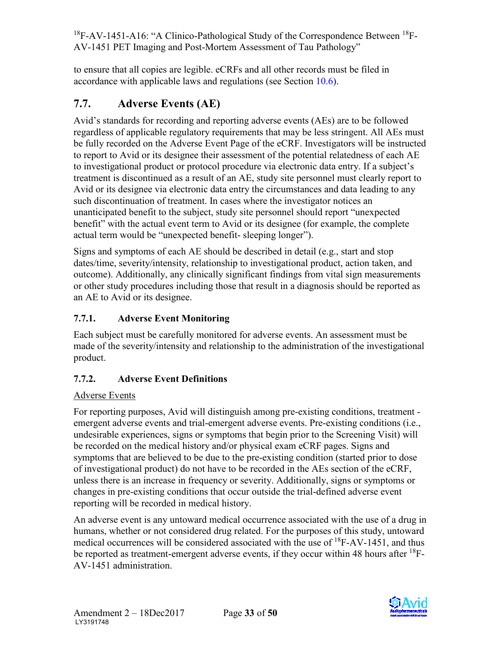to ensure that all copies are legible. eCRFs and all other records must be filed in accordance with applicable laws and regulations (see Section [10.6\)](#page-44-3).

# <span id="page-33-0"></span>**7.7. Adverse Events (AE)**

Avid's standards for recording and reporting adverse events (AEs) are to be followed regardless of applicable regulatory requirements that may be less stringent. All AEs must be fully recorded on the Adverse Event Page of the eCRF. Investigators will be instructed to report to Avid or its designee their assessment of the potential relatedness of each AE to investigational product or protocol procedure via electronic data entry. If a subject's treatment is discontinued as a result of an AE, study site personnel must clearly report to Avid or its designee via electronic data entry the circumstances and data leading to any such discontinuation of treatment. In cases where the investigator notices an unanticipated benefit to the subject, study site personnel should report "unexpected benefit" with the actual event term to Avid or its designee (for example, the complete actual term would be "unexpected benefit- sleeping longer").

Signs and symptoms of each AE should be described in detail (e.g., start and stop dates/time, severity/intensity, relationship to investigational product, action taken, and outcome). Additionally, any clinically significant findings from vital sign measurements or other study procedures including those that result in a diagnosis should be reported as an AE to Avid or its designee.

## <span id="page-33-1"></span>**7.7.1. Adverse Event Monitoring**

Each subject must be carefully monitored for adverse events. An assessment must be made of the severity/intensity and relationship to the administration of the investigational product.

## <span id="page-33-2"></span>**7.7.2. Adverse Event Definitions**

## Adverse Events

For reporting purposes, Avid will distinguish among pre-existing conditions, treatment emergent adverse events and trial-emergent adverse events. Pre-existing conditions (i.e., undesirable experiences, signs or symptoms that begin prior to the Screening Visit) will be recorded on the medical history and/or physical exam eCRF pages. Signs and symptoms that are believed to be due to the pre-existing condition (started prior to dose of investigational product) do not have to be recorded in the AEs section of the eCRF, unless there is an increase in frequency or severity. Additionally, signs or symptoms or changes in pre-existing conditions that occur outside the trial-defined adverse event reporting will be recorded in medical history.

An adverse event is any untoward medical occurrence associated with the use of a drug in humans, whether or not considered drug related. For the purposes of this study, untoward medical occurrences will be considered associated with the use of  ${}^{18}$ F-AV-1451, and thus be reported as treatment-emergent adverse events, if they occur within 48 hours after  $^{18}$ F-AV-1451 administration.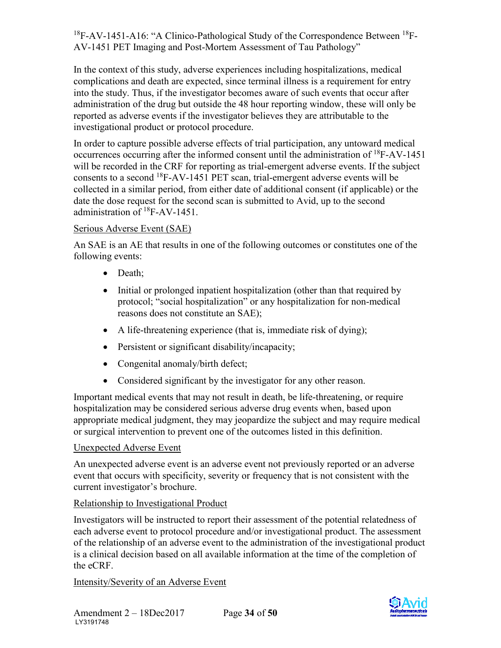In the context of this study, adverse experiences including hospitalizations, medical complications and death are expected, since terminal illness is a requirement for entry into the study. Thus, if the investigator becomes aware of such events that occur after administration of the drug but outside the 48 hour reporting window, these will only be reported as adverse events if the investigator believes they are attributable to the investigational product or protocol procedure.

In order to capture possible adverse effects of trial participation, any untoward medical occurrences occurring after the informed consent until the administration of  $^{18}$ F-AV-1451 will be recorded in the CRF for reporting as trial-emergent adverse events. If the subject consents to a second 18F-AV-1451 PET scan, trial-emergent adverse events will be collected in a similar period, from either date of additional consent (if applicable) or the date the dose request for the second scan is submitted to Avid, up to the second administration of 18F-AV-1451.

#### Serious Adverse Event (SAE)

An SAE is an AE that results in one of the following outcomes or constitutes one of the following events:

- Death;
- Initial or prolonged inpatient hospitalization (other than that required by protocol; "social hospitalization" or any hospitalization for non-medical reasons does not constitute an SAE);
- A life-threatening experience (that is, immediate risk of dying);
- Persistent or significant disability/incapacity;
- Congenital anomaly/birth defect;
- Considered significant by the investigator for any other reason.

Important medical events that may not result in death, be life-threatening, or require hospitalization may be considered serious adverse drug events when, based upon appropriate medical judgment, they may jeopardize the subject and may require medical or surgical intervention to prevent one of the outcomes listed in this definition.

#### Unexpected Adverse Event

An unexpected adverse event is an adverse event not previously reported or an adverse event that occurs with specificity, severity or frequency that is not consistent with the current investigator's brochure.

#### Relationship to Investigational Product

Investigators will be instructed to report their assessment of the potential relatedness of each adverse event to protocol procedure and/or investigational product. The assessment of the relationship of an adverse event to the administration of the investigational product is a clinical decision based on all available information at the time of the completion of the eCRF.

#### Intensity/Severity of an Adverse Event

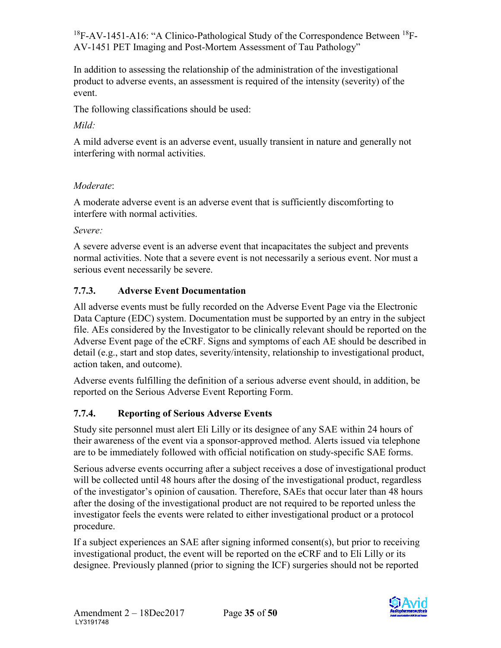<span id="page-35-2"></span>In addition to assessing the relationship of the administration of the investigational product to adverse events, an assessment is required of the intensity (severity) of the event.

The following classifications should be used:

#### *Mild:*

A mild adverse event is an adverse event, usually transient in nature and generally not interfering with normal activities.

#### *Moderate*:

A moderate adverse event is an adverse event that is sufficiently discomforting to interfere with normal activities.

*Severe:*

A severe adverse event is an adverse event that incapacitates the subject and prevents normal activities. Note that a severe event is not necessarily a serious event. Nor must a serious event necessarily be severe.

#### <span id="page-35-0"></span>**7.7.3. Adverse Event Documentation**

All adverse events must be fully recorded on the Adverse Event Page via the Electronic Data Capture (EDC) system. Documentation must be supported by an entry in the subject file. AEs considered by the Investigator to be clinically relevant should be reported on the Adverse Event page of the eCRF. Signs and symptoms of each AE should be described in detail (e.g., start and stop dates, severity/intensity, relationship to investigational product, action taken, and outcome).

Adverse events fulfilling the definition of a serious adverse event should, in addition, be reported on the Serious Adverse Event Reporting Form.

#### <span id="page-35-1"></span>**7.7.4. Reporting of Serious Adverse Events**

Study site personnel must alert Eli Lilly or its designee of any SAE within 24 hours of their awareness of the event via a sponsor-approved method. Alerts issued via telephone are to be immediately followed with official notification on study-specific SAE forms.

Serious adverse events occurring after a subject receives a dose of investigational product will be collected until 48 hours after the dosing of the investigational product, regardless of the investigator's opinion of causation. Therefore, SAEs that occur later than 48 hours after the dosing of the investigational product are not required to be reported unless the investigator feels the events were related to either investigational product or a protocol procedure.

If a subject experiences an SAE after signing informed consent(s), but prior to receiving investigational product, the event will be reported on the eCRF and to Eli Lilly or its designee. Previously planned (prior to signing the ICF) surgeries should not be reported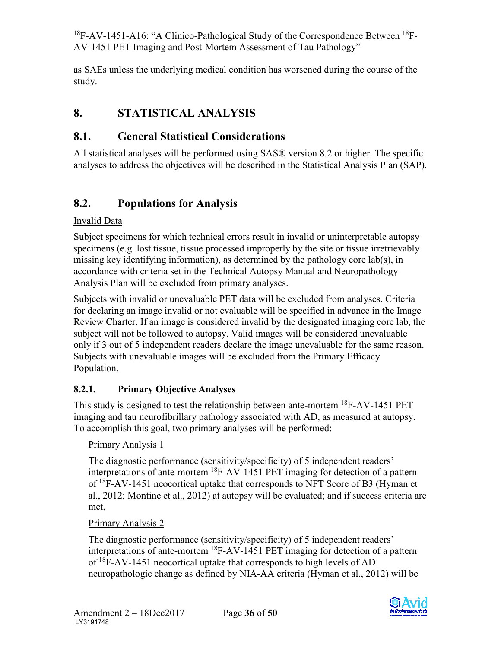as SAEs unless the underlying medical condition has worsened during the course of the study.

# <span id="page-36-0"></span>**8. STATISTICAL ANALYSIS**

# <span id="page-36-1"></span>**8.1. General Statistical Considerations**

All statistical analyses will be performed using SAS® version 8.2 or higher. The specific analyses to address the objectives will be described in the Statistical Analysis Plan (SAP).

# <span id="page-36-2"></span>**8.2. Populations for Analysis**

## Invalid Data

Subject specimens for which technical errors result in invalid or uninterpretable autopsy specimens (e.g. lost tissue, tissue processed improperly by the site or tissue irretrievably missing key identifying information), as determined by the pathology core lab(s), in accordance with criteria set in the Technical Autopsy Manual and Neuropathology Analysis Plan will be excluded from primary analyses.

Subjects with invalid or unevaluable PET data will be excluded from analyses. Criteria for declaring an image invalid or not evaluable will be specified in advance in the Image Review Charter. If an image is considered invalid by the designated imaging core lab, the subject will not be followed to autopsy. Valid images will be considered unevaluable only if 3 out of 5 independent readers declare the image unevaluable for the same reason. Subjects with unevaluable images will be excluded from the Primary Efficacy Population.

## <span id="page-36-3"></span>**8.2.1. Primary Objective Analyses**

This study is designed to test the relationship between ante-mortem <sup>18</sup>F-AV-1451 PET imaging and tau neurofibrillary pathology associated with AD, as measured at autopsy. To accomplish this goal, two primary analyses will be performed:

## Primary Analysis 1

The diagnostic performance (sensitivity/specificity) of 5 independent readers' interpretations of ante-mortem 18F-AV-1451 PET imaging for detection of a pattern of 18F-AV-1451 neocortical uptake that corresponds to NFT Score of B3 (Hyman et al., 2012; Montine et al., 2012) at autopsy will be evaluated; and if success criteria are met,

## Primary Analysis 2

The diagnostic performance (sensitivity/specificity) of 5 independent readers' interpretations of ante-mortem 18F-AV-1451 PET imaging for detection of a pattern of  ${}^{18}F$ -AV-1451 neocortical uptake that corresponds to high levels of AD neuropathologic change as defined by NIA-AA criteria (Hyman et al., 2012) will be

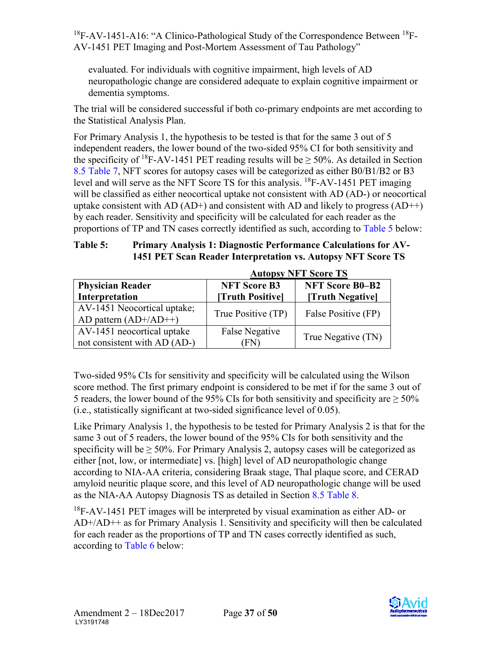evaluated. For individuals with cognitive impairment, high levels of AD neuropathologic change are considered adequate to explain cognitive impairment or dementia symptoms.

The trial will be considered successful if both co-primary endpoints are met according to the Statistical Analysis Plan.

For Primary Analysis 1, the hypothesis to be tested is that for the same 3 out of 5 independent readers, the lower bound of the two-sided 95% CI for both sensitivity and the specificity of <sup>18</sup>F-AV-1451 PET reading results will be  $\geq$  50%. As detailed in Section 8.5 [Table 7,](#page-40-1) NFT scores for autopsy cases will be categorized as either B0/B1/B2 or B3 level and will serve as the NFT Score TS for this analysis.  ${}^{18}$ F-AV-1451 PET imaging will be classified as either neocortical uptake not consistent with AD (AD-) or neocortical uptake consistent with AD  $(AD+)$  and consistent with AD and likely to progress  $(AD++)$ by each reader. Sensitivity and specificity will be calculated for each reader as the proportions of TP and TN cases correctly identified as such, according to [Table 5](#page-37-0) below:

#### <span id="page-37-0"></span>**Table 5: Primary Analysis 1: Diagnostic Performance Calculations for AV-1451 PET Scan Reader Interpretation vs. Autopsy NFT Score TS**

| <b>Physician Reader</b><br>Interpretation                  | <b>NFT Score B3</b><br>[Truth Positive] | <b>NFT Score B0-B2</b><br>[Truth Negative] |
|------------------------------------------------------------|-----------------------------------------|--------------------------------------------|
| AV-1451 Neocortical uptake;<br>AD pattern $(AD+/AD++)$     | True Positive (TP)                      | False Positive (FP)                        |
| AV-1451 neocortical uptake<br>not consistent with AD (AD-) | <b>False Negative</b><br>FN)            | True Negative (TN)                         |

**Autopsy NFT Score TS**

Two-sided 95% CIs for sensitivity and specificity will be calculated using the Wilson score method. The first primary endpoint is considered to be met if for the same 3 out of 5 readers, the lower bound of the 95% CIs for both sensitivity and specificity are  $\geq$  50% (i.e., statistically significant at two-sided significance level of 0.05).

Like Primary Analysis 1, the hypothesis to be tested for Primary Analysis 2 is that for the same 3 out of 5 readers, the lower bound of the 95% CIs for both sensitivity and the specificity will be  $\geq 50\%$ . For Primary Analysis 2, autopsy cases will be categorized as either [not, low, or intermediate] vs. [high] level of AD neuropathologic change according to NIA-AA criteria, considering Braak stage, Thal plaque score, and CERAD amyloid neuritic plaque score, and this level of AD neuropathologic change will be used as the NIA-AA Autopsy Diagnosis TS as detailed in Section [8.5](#page-40-2) [Table 8.](#page-41-2) 

 $18F-AV-1451$  PET images will be interpreted by visual examination as either AD- or AD+/AD++ as for Primary Analysis 1. Sensitivity and specificity will then be calculated for each reader as the proportions of TP and TN cases correctly identified as such, according to [Table 6](#page-38-1) below: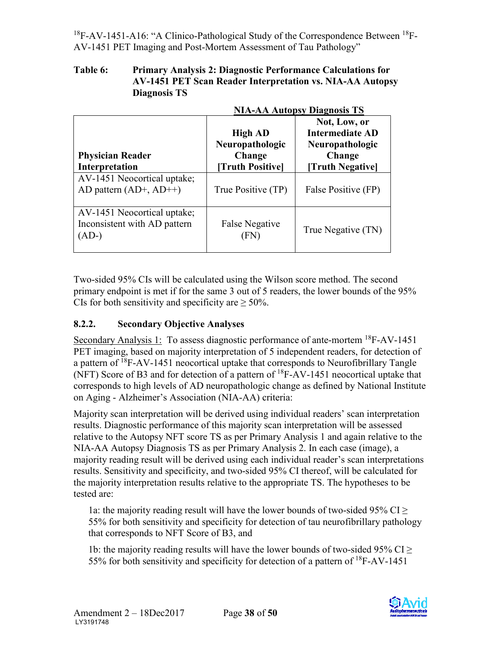#### <span id="page-38-1"></span>**Table 6: Primary Analysis 2: Diagnostic Performance Calculations for AV-1451 PET Scan Reader Interpretation vs. NIA-AA Autopsy Diagnosis TS**

|                                                                        | <b>NIA-AA Autopsy Diagnosis TS</b>                                    |                                                                                               |  |  |
|------------------------------------------------------------------------|-----------------------------------------------------------------------|-----------------------------------------------------------------------------------------------|--|--|
| <b>Physician Reader</b><br>Interpretation                              | <b>High AD</b><br>Neuropathologic<br>Change<br><b>Truth Positivel</b> | Not, Low, or<br><b>Intermediate AD</b><br>Neuropathologic<br>Change<br><b>Truth Negativel</b> |  |  |
| AV-1451 Neocortical uptake;<br>AD pattern $(AD+, AD++)$                | True Positive (TP)                                                    | False Positive (FP)                                                                           |  |  |
| AV-1451 Neocortical uptake;<br>Inconsistent with AD pattern<br>$(AD-)$ | False Negative<br>(FN)                                                | True Negative (TN)                                                                            |  |  |

Two-sided 95% CIs will be calculated using the Wilson score method. The second primary endpoint is met if for the same 3 out of 5 readers, the lower bounds of the 95% CIs for both sensitivity and specificity are  $> 50\%$ .

#### <span id="page-38-0"></span>**8.2.2. Secondary Objective Analyses**

Secondary Analysis 1: To assess diagnostic performance of ante-mortem <sup>18</sup>F-AV-1451 PET imaging, based on majority interpretation of 5 independent readers, for detection of a pattern of <sup>18</sup>F-AV-1451 neocortical uptake that corresponds to Neurofibrillary Tangle (NFT) Score of B3 and for detection of a pattern of 18F-AV-1451 neocortical uptake that corresponds to high levels of AD neuropathologic change as defined by National Institute on Aging - Alzheimer's Association (NIA-AA) criteria:

Majority scan interpretation will be derived using individual readers' scan interpretation results. Diagnostic performance of this majority scan interpretation will be assessed relative to the Autopsy NFT score TS as per Primary Analysis 1 and again relative to the NIA-AA Autopsy Diagnosis TS as per Primary Analysis 2. In each case (image), a majority reading result will be derived using each individual reader's scan interpretations results. Sensitivity and specificity, and two-sided 95% CI thereof, will be calculated for the majority interpretation results relative to the appropriate TS. The hypotheses to be tested are:

1a: the majority reading result will have the lower bounds of two-sided 95% CI  $\geq$ 55% for both sensitivity and specificity for detection of tau neurofibrillary pathology that corresponds to NFT Score of B3, and

1b: the majority reading results will have the lower bounds of two-sided 95% CI  $\geq$ 55% for both sensitivity and specificity for detection of a pattern of 18F-AV-1451

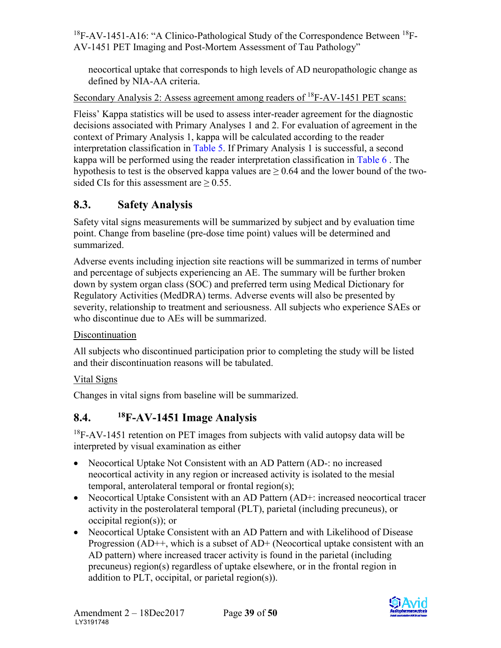neocortical uptake that corresponds to high levels of AD neuropathologic change as defined by NIA-AA criteria.

Secondary Analysis 2: Assess agreement among readers of <sup>18</sup>F-AV-1451 PET scans:

Fleiss' Kappa statistics will be used to assess inter-reader agreement for the diagnostic decisions associated with Primary Analyses 1 and 2. For evaluation of agreement in the context of Primary Analysis 1, kappa will be calculated according to the reader interpretation classification in [Table 5.](#page-37-0) If Primary Analysis 1 is successful, a second kappa will be performed using the reader interpretation classification in [Table 6](#page-38-1) . The hypothesis to test is the observed kappa values are  $> 0.64$  and the lower bound of the twosided CIs for this assessment are  $\geq 0.55$ .

# <span id="page-39-0"></span>**8.3. Safety Analysis**

Safety vital signs measurements will be summarized by subject and by evaluation time point. Change from baseline (pre-dose time point) values will be determined and summarized.

Adverse events including injection site reactions will be summarized in terms of number and percentage of subjects experiencing an AE. The summary will be further broken down by system organ class (SOC) and preferred term using Medical Dictionary for Regulatory Activities (MedDRA) terms. Adverse events will also be presented by severity, relationship to treatment and seriousness. All subjects who experience SAEs or who discontinue due to AEs will be summarized.

#### Discontinuation

All subjects who discontinued participation prior to completing the study will be listed and their discontinuation reasons will be tabulated.

## Vital Signs

Changes in vital signs from baseline will be summarized.

# <span id="page-39-1"></span>**8.4. 18F-AV-1451 Image Analysis**

 $18F-AV-1451$  retention on PET images from subjects with valid autopsy data will be interpreted by visual examination as either

- Neocortical Uptake Not Consistent with an AD Pattern (AD-: no increased neocortical activity in any region or increased activity is isolated to the mesial temporal, anterolateral temporal or frontal region(s);
- Neocortical Uptake Consistent with an AD Pattern (AD+: increased neocortical tracer activity in the posterolateral temporal (PLT), parietal (including precuneus), or occipital region(s)); or
- Neocortical Uptake Consistent with an AD Pattern and with Likelihood of Disease Progression (AD++, which is a subset of AD+ (Neocortical uptake consistent with an AD pattern) where increased tracer activity is found in the parietal (including precuneus) region(s) regardless of uptake elsewhere, or in the frontal region in addition to PLT, occipital, or parietal region(s)).

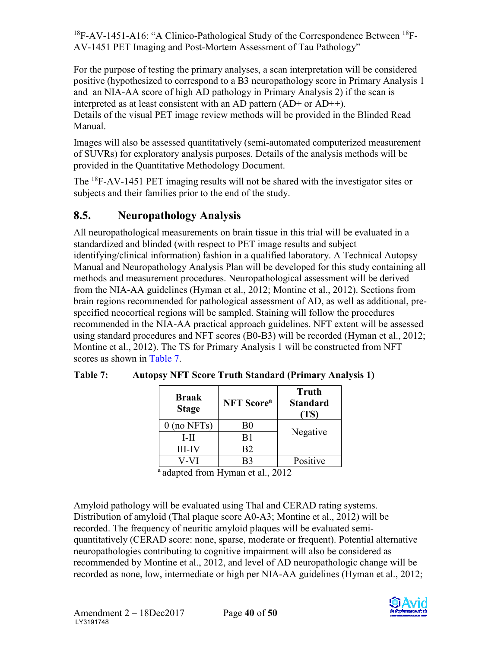<span id="page-40-2"></span>For the purpose of testing the primary analyses, a scan interpretation will be considered positive (hypothesized to correspond to a B3 neuropathology score in Primary Analysis 1 and an NIA-AA score of high AD pathology in Primary Analysis 2) if the scan is interpreted as at least consistent with an AD pattern (AD+ or AD++). Details of the visual PET image review methods will be provided in the Blinded Read Manual.

Images will also be assessed quantitatively (semi-automated computerized measurement of SUVRs) for exploratory analysis purposes. Details of the analysis methods will be provided in the Quantitative Methodology Document.

The <sup>18</sup>F-AV-1451 PET imaging results will not be shared with the investigator sites or subjects and their families prior to the end of the study.

# <span id="page-40-0"></span>**8.5. Neuropathology Analysis**

All neuropathological measurements on brain tissue in this trial will be evaluated in a standardized and blinded (with respect to PET image results and subject identifying/clinical information) fashion in a qualified laboratory. A Technical Autopsy Manual and Neuropathology Analysis Plan will be developed for this study containing all methods and measurement procedures. Neuropathological assessment will be derived from the NIA-AA guidelines (Hyman et al., 2012; Montine et al., 2012). Sections from brain regions recommended for pathological assessment of AD, as well as additional, prespecified neocortical regions will be sampled. Staining will follow the procedures recommended in the NIA-AA practical approach guidelines. NFT extent will be assessed using standard procedures and NFT scores (B0-B3) will be recorded (Hyman et al., 2012; Montine et al., 2012). The TS for Primary Analysis 1 will be constructed from NFT scores as shown in [Table 7.](#page-40-1)

| <b>Braak</b><br><b>Stage</b> | <b>NFT</b> Score <sup>a</sup> | <b>Truth</b><br><b>Standard</b><br>(TS) |
|------------------------------|-------------------------------|-----------------------------------------|
| $0$ (no NFTs)                | B0                            |                                         |
| L-II                         | B1                            | Negative                                |
| <b>III-IV</b>                | B2                            |                                         |
| V-VI                         | B3                            | Positive                                |

<span id="page-40-1"></span>**Table 7: Autopsy NFT Score Truth Standard (Primary Analysis 1)** 

<sup>a</sup> adapted from Hyman et al., 2012

Amyloid pathology will be evaluated using Thal and CERAD rating systems. Distribution of amyloid (Thal plaque score A0-A3; Montine et al., 2012) will be recorded. The frequency of neuritic amyloid plaques will be evaluated semiquantitatively (CERAD score: none, sparse, moderate or frequent). Potential alternative neuropathologies contributing to cognitive impairment will also be considered as recommended by Montine et al., 2012, and level of AD neuropathologic change will be recorded as none, low, intermediate or high per NIA-AA guidelines (Hyman et al., 2012;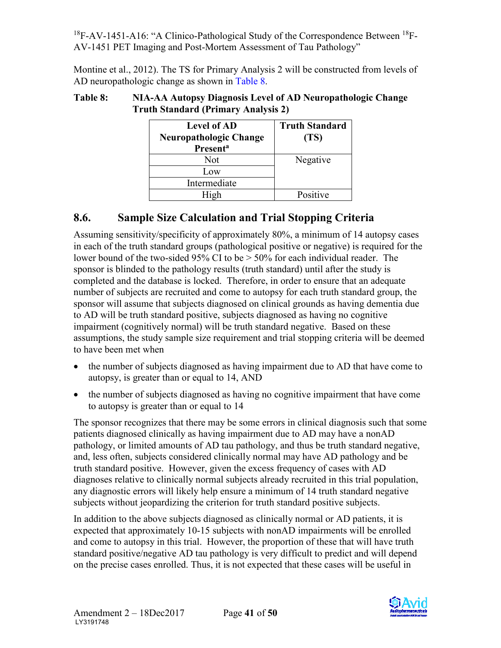<span id="page-41-1"></span>Montine et al., 2012). The TS for Primary Analysis 2 will be constructed from levels of AD neuropathologic change as shown in [Table 8.](#page-41-2)

| <b>Level of AD</b><br><b>Neuropathologic Change</b><br><b>Presenta</b> | <b>Truth Standard</b><br>(TS) |
|------------------------------------------------------------------------|-------------------------------|
| Not                                                                    | Negative                      |
| Low                                                                    |                               |
| Intermediate                                                           |                               |
| σh                                                                     | Positive                      |

#### <span id="page-41-2"></span>**Table 8: NIA-AA Autopsy Diagnosis Level of AD Neuropathologic Change Truth Standard (Primary Analysis 2)**

# <span id="page-41-0"></span>**8.6. Sample Size Calculation and Trial Stopping Criteria**

Assuming sensitivity/specificity of approximately 80%, a minimum of 14 autopsy cases in each of the truth standard groups (pathological positive or negative) is required for the lower bound of the two-sided 95% CI to be  $> 50\%$  for each individual reader. The sponsor is blinded to the pathology results (truth standard) until after the study is completed and the database is locked. Therefore, in order to ensure that an adequate number of subjects are recruited and come to autopsy for each truth standard group, the sponsor will assume that subjects diagnosed on clinical grounds as having dementia due to AD will be truth standard positive, subjects diagnosed as having no cognitive impairment (cognitively normal) will be truth standard negative. Based on these assumptions, the study sample size requirement and trial stopping criteria will be deemed to have been met when

- the number of subjects diagnosed as having impairment due to AD that have come to autopsy, is greater than or equal to 14, AND
- the number of subjects diagnosed as having no cognitive impairment that have come to autopsy is greater than or equal to 14

The sponsor recognizes that there may be some errors in clinical diagnosis such that some patients diagnosed clinically as having impairment due to AD may have a nonAD pathology, or limited amounts of AD tau pathology, and thus be truth standard negative, and, less often, subjects considered clinically normal may have AD pathology and be truth standard positive. However, given the excess frequency of cases with AD diagnoses relative to clinically normal subjects already recruited in this trial population, any diagnostic errors will likely help ensure a minimum of 14 truth standard negative subjects without jeopardizing the criterion for truth standard positive subjects.

In addition to the above subjects diagnosed as clinically normal or AD patients, it is expected that approximately 10-15 subjects with nonAD impairments will be enrolled and come to autopsy in this trial. However, the proportion of these that will have truth standard positive/negative AD tau pathology is very difficult to predict and will depend on the precise cases enrolled. Thus, it is not expected that these cases will be useful in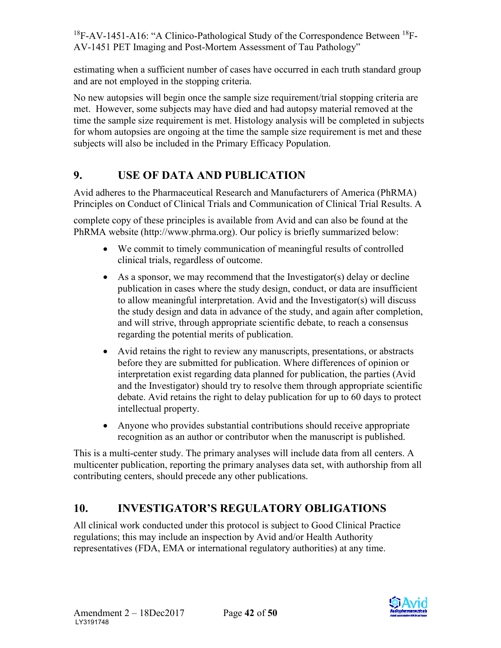<span id="page-42-2"></span>estimating when a sufficient number of cases have occurred in each truth standard group and are not employed in the stopping criteria.

No new autopsies will begin once the sample size requirement/trial stopping criteria are met. However, some subjects may have died and had autopsy material removed at the time the sample size requirement is met. Histology analysis will be completed in subjects for whom autopsies are ongoing at the time the sample size requirement is met and these subjects will also be included in the Primary Efficacy Population.

# <span id="page-42-0"></span>**9. USE OF DATA AND PUBLICATION**

Avid adheres to the Pharmaceutical Research and Manufacturers of America (PhRMA) Principles on Conduct of Clinical Trials and Communication of Clinical Trial Results. A

complete copy of these principles is available from Avid and can also be found at the PhRMA website (http://www.phrma.org). Our policy is briefly summarized below:

- We commit to timely communication of meaningful results of controlled clinical trials, regardless of outcome.
- As a sponsor, we may recommend that the Investigator(s) delay or decline publication in cases where the study design, conduct, or data are insufficient to allow meaningful interpretation. Avid and the Investigator(s) will discuss the study design and data in advance of the study, and again after completion, and will strive, through appropriate scientific debate, to reach a consensus regarding the potential merits of publication.
- Avid retains the right to review any manuscripts, presentations, or abstracts before they are submitted for publication. Where differences of opinion or interpretation exist regarding data planned for publication, the parties (Avid and the Investigator) should try to resolve them through appropriate scientific debate. Avid retains the right to delay publication for up to 60 days to protect intellectual property.
- Anyone who provides substantial contributions should receive appropriate recognition as an author or contributor when the manuscript is published.

This is a multi-center study. The primary analyses will include data from all centers. A multicenter publication, reporting the primary analyses data set, with authorship from all contributing centers, should precede any other publications.

# <span id="page-42-1"></span>**10. INVESTIGATOR'S REGULATORY OBLIGATIONS**

All clinical work conducted under this protocol is subject to Good Clinical Practice regulations; this may include an inspection by Avid and/or Health Authority representatives (FDA, EMA or international regulatory authorities) at any time.

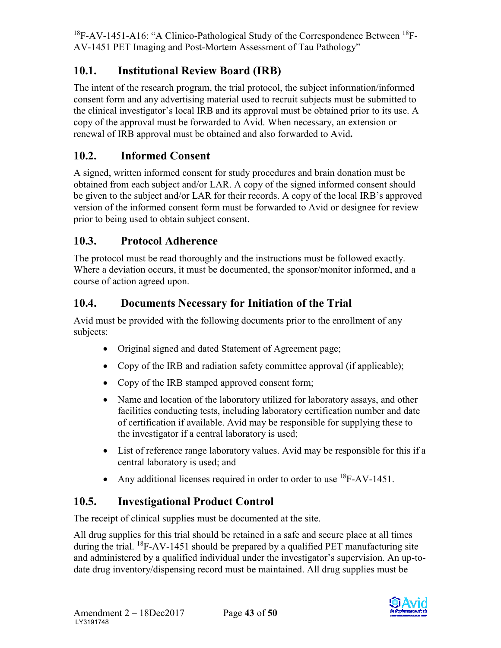# <span id="page-43-0"></span>**10.1. Institutional Review Board (IRB)**

The intent of the research program, the trial protocol, the subject information/informed consent form and any advertising material used to recruit subjects must be submitted to the clinical investigator's local IRB and its approval must be obtained prior to its use. A copy of the approval must be forwarded to Avid. When necessary, an extension or renewal of IRB approval must be obtained and also forwarded to Avid**.** 

# <span id="page-43-1"></span>**10.2. Informed Consent**

A signed, written informed consent for study procedures and brain donation must be obtained from each subject and/or LAR. A copy of the signed informed consent should be given to the subject and/or LAR for their records. A copy of the local IRB's approved version of the informed consent form must be forwarded to Avid or designee for review prior to being used to obtain subject consent.

# <span id="page-43-2"></span>**10.3. Protocol Adherence**

The protocol must be read thoroughly and the instructions must be followed exactly. Where a deviation occurs, it must be documented, the sponsor/monitor informed, and a course of action agreed upon.

# <span id="page-43-3"></span>**10.4. Documents Necessary for Initiation of the Trial**

Avid must be provided with the following documents prior to the enrollment of any subjects:

- Original signed and dated Statement of Agreement page;
- Copy of the IRB and radiation safety committee approval (if applicable);
- Copy of the IRB stamped approved consent form;
- Name and location of the laboratory utilized for laboratory assays, and other facilities conducting tests, including laboratory certification number and date of certification if available. Avid may be responsible for supplying these to the investigator if a central laboratory is used;
- List of reference range laboratory values. Avid may be responsible for this if a central laboratory is used; and
- Any additional licenses required in order to order to use <sup>18</sup>F-AV-1451.

# <span id="page-43-4"></span>**10.5. Investigational Product Control**

The receipt of clinical supplies must be documented at the site.

All drug supplies for this trial should be retained in a safe and secure place at all times during the trial.  $^{18}$ F-AV-1451 should be prepared by a qualified PET manufacturing site and administered by a qualified individual under the investigator's supervision. An up-todate drug inventory/dispensing record must be maintained. All drug supplies must be

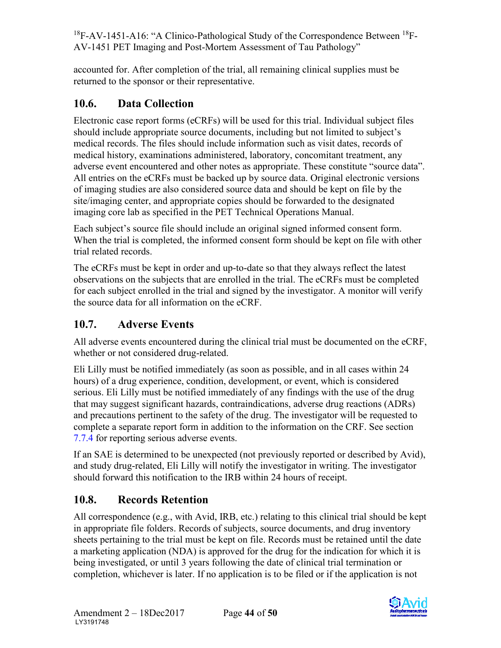<span id="page-44-3"></span>accounted for. After completion of the trial, all remaining clinical supplies must be returned to the sponsor or their representative.

# <span id="page-44-0"></span>**10.6. Data Collection**

Electronic case report forms (eCRFs) will be used for this trial. Individual subject files should include appropriate source documents, including but not limited to subject's medical records. The files should include information such as visit dates, records of medical history, examinations administered, laboratory, concomitant treatment, any adverse event encountered and other notes as appropriate. These constitute "source data". All entries on the eCRFs must be backed up by source data. Original electronic versions of imaging studies are also considered source data and should be kept on file by the site/imaging center, and appropriate copies should be forwarded to the designated imaging core lab as specified in the PET Technical Operations Manual.

Each subject's source file should include an original signed informed consent form. When the trial is completed, the informed consent form should be kept on file with other trial related records.

The eCRFs must be kept in order and up-to-date so that they always reflect the latest observations on the subjects that are enrolled in the trial. The eCRFs must be completed for each subject enrolled in the trial and signed by the investigator. A monitor will verify the source data for all information on the eCRF.

## <span id="page-44-1"></span>**10.7. Adverse Events**

All adverse events encountered during the clinical trial must be documented on the eCRF, whether or not considered drug-related.

Eli Lilly must be notified immediately (as soon as possible, and in all cases within 24 hours) of a drug experience, condition, development, or event, which is considered serious. Eli Lilly must be notified immediately of any findings with the use of the drug that may suggest significant hazards, contraindications, adverse drug reactions (ADRs) and precautions pertinent to the safety of the drug. The investigator will be requested to complete a separate report form in addition to the information on the CRF. See section [7.7.4](#page-35-2) for reporting serious adverse events.

If an SAE is determined to be unexpected (not previously reported or described by Avid), and study drug-related, Eli Lilly will notify the investigator in writing. The investigator should forward this notification to the IRB within 24 hours of receipt.

# <span id="page-44-2"></span>**10.8. Records Retention**

All correspondence (e.g., with Avid, IRB, etc.) relating to this clinical trial should be kept in appropriate file folders. Records of subjects, source documents, and drug inventory sheets pertaining to the trial must be kept on file. Records must be retained until the date a marketing application (NDA) is approved for the drug for the indication for which it is being investigated, or until 3 years following the date of clinical trial termination or completion, whichever is later. If no application is to be filed or if the application is not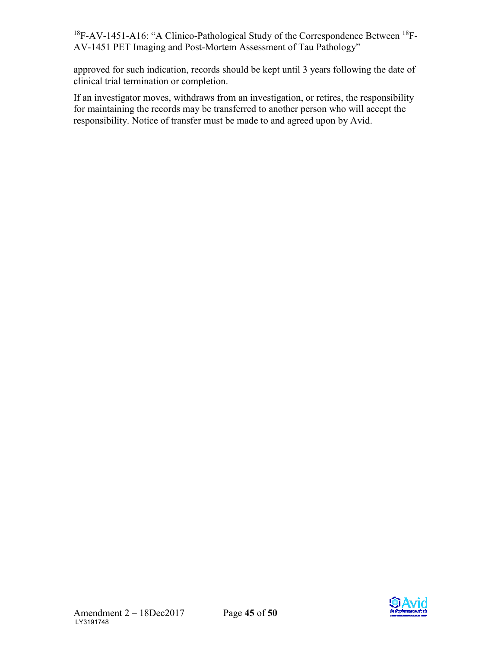approved for such indication, records should be kept until 3 years following the date of clinical trial termination or completion.

If an investigator moves, withdraws from an investigation, or retires, the responsibility for maintaining the records may be transferred to another person who will accept the responsibility. Notice of transfer must be made to and agreed upon by Avid.

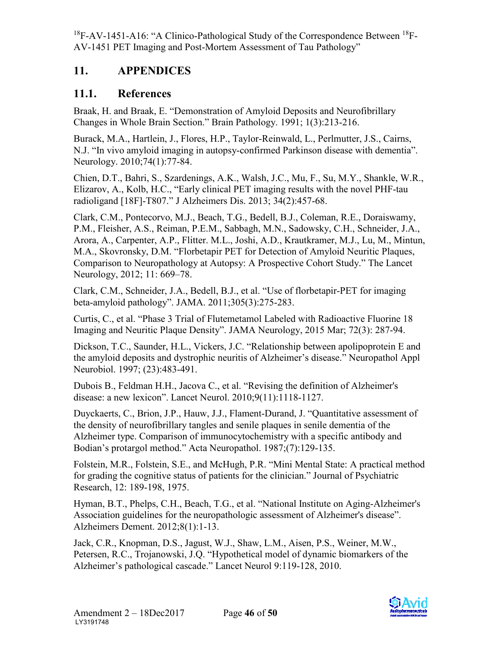# <span id="page-46-0"></span>**11. APPENDICES**

## <span id="page-46-1"></span>**11.1. References**

Braak, H. and Braak, E. "Demonstration of Amyloid Deposits and Neurofibrillary Changes in Whole Brain Section." Brain Pathology. 1991; 1(3):213-216.

Burack, M.A., Hartlein, J., Flores, H.P., Taylor-Reinwald, L., Perlmutter, J.S., Cairns, N.J. "In vivo amyloid imaging in autopsy-confirmed Parkinson disease with dementia". Neurology. 2010;74(1):77-84.

Chien, D.T., Bahri, S., Szardenings, A.K., Walsh, J.C., Mu, F., Su, M.Y., Shankle, W.R., Elizarov, A., Kolb, H.C., "Early clinical PET imaging results with the novel PHF-tau radioligand [18F]-T807." J Alzheimers Dis. 2013; 34(2):457-68.

Clark, C.M., Pontecorvo, M.J., Beach, T.G., Bedell, B.J., Coleman, R.E., Doraiswamy, P.M., Fleisher, A.S., Reiman, P.E.M., Sabbagh, M.N., Sadowsky, C.H., Schneider, J.A., Arora, A., Carpenter, A.P., Flitter. M.L., Joshi, A.D., Krautkramer, M.J., Lu, M., Mintun, M.A., Skovronsky, D.M. "Florbetapir PET for Detection of Amyloid Neuritic Plaques, Comparison to Neuropathology at Autopsy: A Prospective Cohort Study." The Lancet Neurology, 2012; 11: 669–78.

Clark, C.M., Schneider, J.A., Bedell, B.J., et al. "Use of florbetapir-PET for imaging beta-amyloid pathology". JAMA. 2011;305(3):275-283.

Curtis, C., et al. "Phase 3 Trial of Flutemetamol Labeled with Radioactive Fluorine 18 Imaging and Neuritic Plaque Density". JAMA Neurology, 2015 Mar; 72(3): 287-94.

Dickson, T.C., Saunder, H.L., Vickers, J.C. "Relationship between apolipoprotein E and the amyloid deposits and dystrophic neuritis of Alzheimer's disease." Neuropathol Appl Neurobiol. 1997; (23):483-491.

Dubois B., Feldman H.H., Jacova C., et al. "Revising the definition of Alzheimer's disease: a new lexicon". Lancet Neurol. 2010;9(11):1118-1127.

Duyckaerts, C., Brion, J.P., Hauw, J.J., Flament-Durand, J. "Quantitative assessment of the density of neurofibrillary tangles and senile plaques in senile dementia of the Alzheimer type. Comparison of immunocytochemistry with a specific antibody and Bodian's protargol method." Acta Neuropathol. 1987;(7):129-135.

Folstein, M.R., Folstein, S.E., and McHugh, P.R. "Mini Mental State: A practical method for grading the cognitive status of patients for the clinician." Journal of Psychiatric Research, 12: 189-198, 1975.

Hyman, B.T., Phelps, C.H., Beach, T.G., et al. "National Institute on Aging-Alzheimer's Association guidelines for the neuropathologic assessment of Alzheimer's disease". Alzheimers Dement. 2012;8(1):1-13.

Jack, C.R., Knopman, D.S., Jagust, W.J., Shaw, L.M., Aisen, P.S., Weiner, M.W., Petersen, R.C., Trojanowski, J.Q. "Hypothetical model of dynamic biomarkers of the Alzheimer's pathological cascade." Lancet Neurol 9:119-128, 2010.

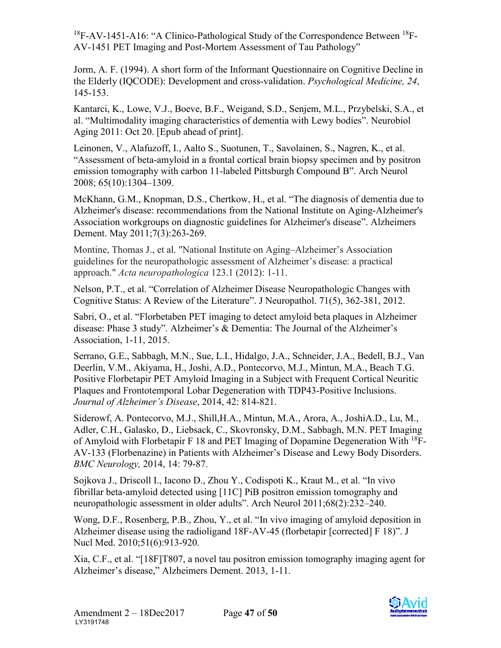Jorm, A. F. (1994). A short form of the Informant Questionnaire on Cognitive Decline in the Elderly (IQCODE): Development and cross-validation. *Psychological Medicine, 24*, 145-153.

Kantarci, K., Lowe, V.J., Boeve, B.F., Weigand, S.D., Senjem, M.L., Przybelski, S.A., et al. "Multimodality imaging characteristics of dementia with Lewy bodies". Neurobiol Aging 2011: Oct 20. [Epub ahead of print].

Leinonen, V., Alafuzoff, I., Aalto S., Suotunen, T., Savolainen, S., Nagren, K., et al. "Assessment of beta-amyloid in a frontal cortical brain biopsy specimen and by positron emission tomography with carbon 11-labeled Pittsburgh Compound B". Arch Neurol 2008; 65(10):1304–1309.

McKhann, G.M., Knopman, D.S., Chertkow, H., et al. "The diagnosis of dementia due to Alzheimer's disease: recommendations from the National Institute on Aging-Alzheimer's Association workgroups on diagnostic guidelines for Alzheimer's disease". Alzheimers Dement. May 2011;7(3):263-269.

Montine, Thomas J., et al. "National Institute on Aging–Alzheimer's Association guidelines for the neuropathologic assessment of Alzheimer's disease: a practical approach." *Acta neuropathologica* 123.1 (2012): 1-11.

Nelson, P.T., et al. "Correlation of Alzheimer Disease Neuropathologic Changes with Cognitive Status: A Review of the Literature". J Neuropathol. 71(5), 362-381, 2012.

Sabri, O., et al. "Florbetaben PET imaging to detect amyloid beta plaques in Alzheimer disease: Phase 3 study". Alzheimer's & Dementia: The Journal of the Alzheimer's Association, 1-11, 2015.

Serrano, G.E., Sabbagh, M.N., Sue, L.I., Hidalgo, J.A., Schneider, J.A., Bedell, B.J., Van Deerlin, V.M., Akiyama, H., Joshi, A.D., Pontecorvo, M.J., Mintun, M.A., Beach T.G. Positive Florbetapir PET Amyloid Imaging in a Subject with Frequent Cortical Neuritic Plaques and Frontotemporal Lobar Degeneration with TDP43-Positive Inclusions. *Journal of Alzheimer's Disease*, 2014, 42: 814-821.

Siderowf, A. Pontecorvo, M.J., Shill,H.A., Mintun, M.A., Arora, A., JoshiA.D., Lu, M., Adler, C.H., Galasko, D., Liebsack, C., Skovronsky, D.M., Sabbagh, M.N. PET Imaging of Amyloid with Florbetapir F 18 and PET Imaging of Dopamine Degeneration With  $^{18}$ F-AV-133 (Florbenazine) in Patients with Alzheimer's Disease and Lewy Body Disorders. *BMC Neurology,* 2014, 14: 79-87.

Sojkova J., Driscoll I., Iacono D., Zhou Y., Codispoti K., Kraut M., et al. "In vivo fibrillar beta-amyloid detected using [11C] PiB positron emission tomography and neuropathologic assessment in older adults". Arch Neurol 2011;68(2):232–240.

Wong, D.F., Rosenberg, P.B., Zhou, Y., et al. "In vivo imaging of amyloid deposition in Alzheimer disease using the radioligand 18F-AV-45 (florbetapir [corrected] F 18)". J Nucl Med. 2010;51(6):913-920.

Xia, C.F., et al. "[18F]T807, a novel tau positron emission tomography imaging agent for Alzheimer's disease," Alzheimers Dement. 2013, 1-11.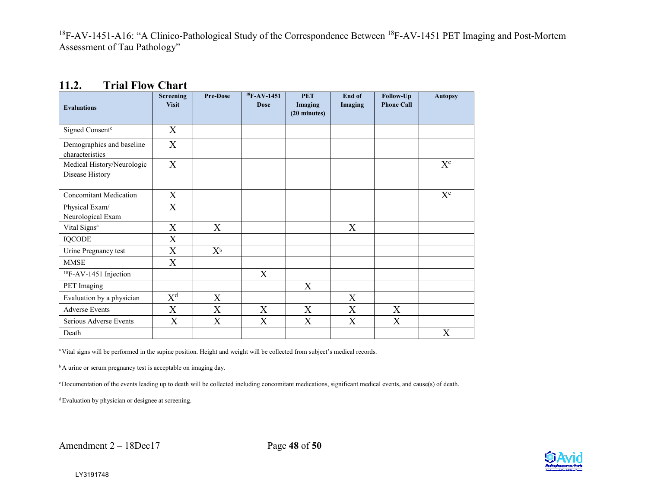| <b>Evaluations</b>                            | <b>Screening</b><br><b>Visit</b> | <b>Pre-Dose</b>                 | $18F-AV-1451$<br><b>Dose</b> | <b>PET</b><br>Imaging<br>(20 minutes) | End of<br>Imaging | Follow-Up<br><b>Phone Call</b> | <b>Autopsy</b>          |
|-----------------------------------------------|----------------------------------|---------------------------------|------------------------------|---------------------------------------|-------------------|--------------------------------|-------------------------|
| Signed Consente                               | X                                |                                 |                              |                                       |                   |                                |                         |
| Demographics and baseline<br>characteristics  | X                                |                                 |                              |                                       |                   |                                |                         |
| Medical History/Neurologic<br>Disease History | X                                |                                 |                              |                                       |                   |                                | $\mathbf{X}^\mathrm{c}$ |
| <b>Concomitant Medication</b>                 | $\boldsymbol{\mathrm{X}}$        |                                 |                              |                                       |                   |                                | $X^{c}$                 |
| Physical Exam/<br>Neurological Exam           | X                                |                                 |                              |                                       |                   |                                |                         |
| Vital Signs <sup>a</sup>                      | $\boldsymbol{\mathrm{X}}$        | X                               |                              |                                       | X                 |                                |                         |
| <b>IQCODE</b>                                 | X                                |                                 |                              |                                       |                   |                                |                         |
| Urine Pregnancy test                          | X                                | $X^{\scriptscriptstyle{\rm b}}$ |                              |                                       |                   |                                |                         |
| <b>MMSE</b>                                   | X                                |                                 |                              |                                       |                   |                                |                         |
| ${}^{18}$ F-AV-1451 Injection                 |                                  |                                 | X                            |                                       |                   |                                |                         |
| PET Imaging                                   |                                  |                                 |                              | X                                     |                   |                                |                         |
| Evaluation by a physician                     | $\overline{X^d}$                 | X                               |                              |                                       | X                 |                                |                         |
| <b>Adverse Events</b>                         | X                                | X                               | X                            | X                                     | X                 | X                              |                         |
| Serious Adverse Events                        | X                                | $\overline{X}$                  | X                            | X                                     | X                 | X                              |                         |
| Death                                         |                                  |                                 |                              |                                       |                   |                                | X                       |

#### <span id="page-48-1"></span>**11.2. Trial Flow Chart**

<span id="page-48-0"></span>a Vital signs will be performed in the supine position. Height and weight will be collected from subject's medical records.

<sup>b</sup> A urine or serum pregnancy test is acceptable on imaging day.

c Documentation of the events leading up to death will be collected including concomitant medications, significant medical events, and cause(s) of death.

d Evaluation by physician or designee at screening.

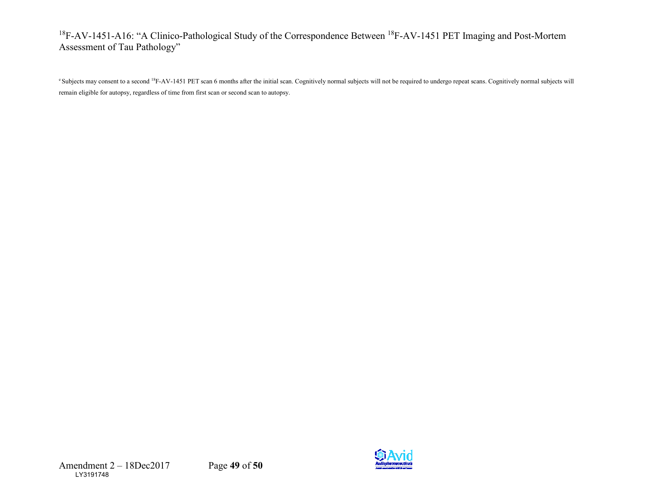<sup>e</sup> Subjects may consent to a second <sup>18</sup>F-AV-1451 PET scan 6 months after the initial scan. Cognitively normal subjects will not be required to undergo repeat scans. Cognitively normal subjects will remain eligible for autopsy, regardless of time from first scan or second scan to autopsy.

Amendment 2 – 18Dec2017 Page **49** of **50**  LY3191748